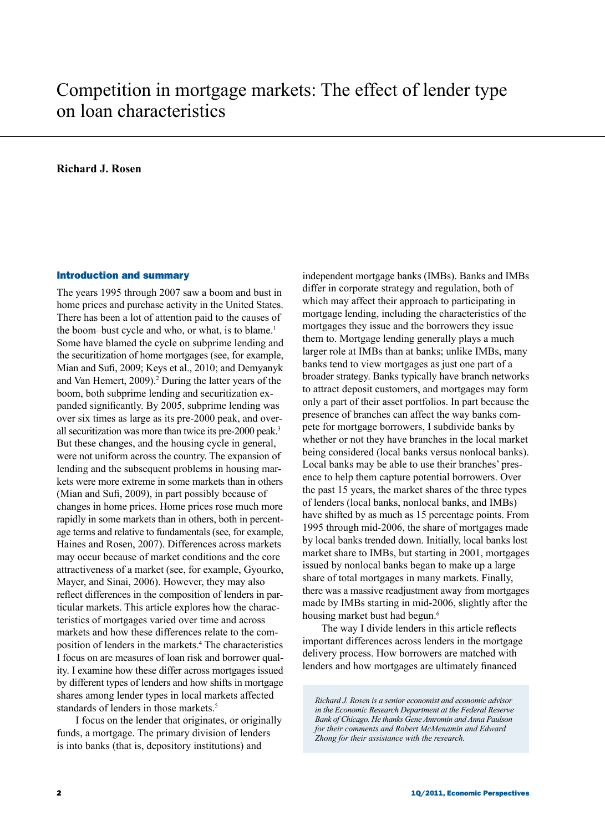# Competition in mortgage markets: The effect of lender type on loan characteristics

# **Richard J. Rosen**

## Introduction and summary

The years 1995 through 2007 saw a boom and bust in home prices and purchase activity in the United States. There has been a lot of attention paid to the causes of the boom–bust cycle and who, or what, is to blame.<sup>1</sup> Some have blamed the cycle on subprime lending and the securitization of home mortgages (see, for example, Mian and Sufi, 2009; Keys et al., 2010; and Demyanyk and Van Hemert, 2009).<sup>2</sup> During the latter years of the boom, both subprime lending and securitization expanded significantly. By 2005, subprime lending was over six times as large as its pre-2000 peak, and overall securitization was more than twice its pre-2000 peak.<sup>3</sup> But these changes, and the housing cycle in general, were not uniform across the country. The expansion of lending and the subsequent problems in housing markets were more extreme in some markets than in others (Mian and Sufi, 2009), in part possibly because of changes in home prices. Home prices rose much more rapidly in some markets than in others, both in percentage terms and relative to fundamentals (see, for example, Haines and Rosen, 2007). Differences across markets may occur because of market conditions and the core attractiveness of a market (see, for example, Gyourko, Mayer, and Sinai, 2006). However, they may also reflect differences in the composition of lenders in particular markets. This article explores how the characteristics of mortgages varied over time and across markets and how these differences relate to the composition of lenders in the markets.4 The characteristics I focus on are measures of loan risk and borrower quality. I examine how these differ across mortgages issued by different types of lenders and how shifts in mortgage shares among lender types in local markets affected standards of lenders in those markets.<sup>5</sup>

I focus on the lender that originates, or originally funds, a mortgage. The primary division of lenders is into banks (that is, depository institutions) and

independent mortgage banks (IMBs). Banks and IMBs differ in corporate strategy and regulation, both of which may affect their approach to participating in mortgage lending, including the characteristics of the mortgages they issue and the borrowers they issue them to. Mortgage lending generally plays a much larger role at IMBs than at banks; unlike IMBs, many banks tend to view mortgages as just one part of a broader strategy. Banks typically have branch networks to attract deposit customers, and mortgages may form only a part of their asset portfolios. In part because the presence of branches can affect the way banks compete for mortgage borrowers, I subdivide banks by whether or not they have branches in the local market being considered (local banks versus nonlocal banks). Local banks may be able to use their branches' presence to help them capture potential borrowers. Over the past 15 years, the market shares of the three types of lenders (local banks, nonlocal banks, and IMBs) have shifted by as much as 15 percentage points. From 1995 through mid-2006, the share of mortgages made by local banks trended down. Initially, local banks lost market share to IMBs, but starting in 2001, mortgages issued by nonlocal banks began to make up a large share of total mortgages in many markets. Finally, there was a massive readjustment away from mortgages made by IMBs starting in mid-2006, slightly after the housing market bust had begun.<sup>6</sup>

The way I divide lenders in this article reflects important differences across lenders in the mortgage delivery process. How borrowers are matched with lenders and how mortgages are ultimately financed

*Richard J. Rosen is a senior economist and economic advisor in the Economic Research Department at the Federal Reserve Bank of Chicago. He thanks Gene Amromin and Anna Paulson for their comments and Robert McMenamin and Edward Zhong for their assistance with the research.*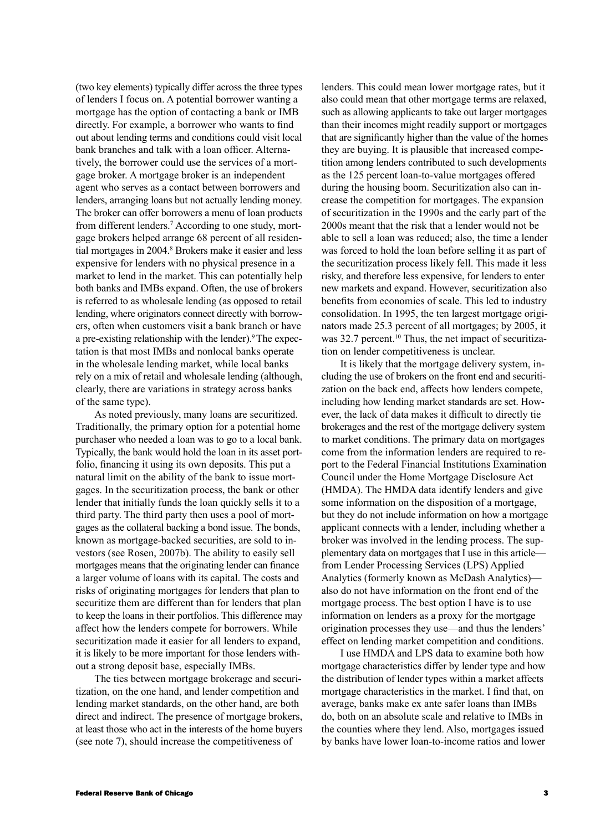(two key elements) typically differ across the three types of lenders I focus on. A potential borrower wanting a mortgage has the option of contacting a bank or IMB directly. For example, a borrower who wants to find out about lending terms and conditions could visit local bank branches and talk with a loan officer. Alternatively, the borrower could use the services of a mortgage broker. A mortgage broker is an independent agent who serves as a contact between borrowers and lenders, arranging loans but not actually lending money. The broker can offer borrowers a menu of loan products from different lenders.<sup>7</sup> According to one study, mortgage brokers helped arrange 68 percent of all residential mortgages in 2004.<sup>8</sup> Brokers make it easier and less expensive for lenders with no physical presence in a market to lend in the market. This can potentially help both banks and IMBs expand. Often, the use of brokers is referred to as wholesale lending (as opposed to retail lending, where originators connect directly with borrowers, often when customers visit a bank branch or have a pre-existing relationship with the lender).<sup>9</sup> The expectation is that most IMBs and nonlocal banks operate in the wholesale lending market, while local banks rely on a mix of retail and wholesale lending (although, clearly, there are variations in strategy across banks of the same type).

As noted previously, many loans are securitized. Traditionally, the primary option for a potential home purchaser who needed a loan was to go to a local bank. Typically, the bank would hold the loan in its asset portfolio, financing it using its own deposits. This put a natural limit on the ability of the bank to issue mortgages. In the securitization process, the bank or other lender that initially funds the loan quickly sells it to a third party. The third party then uses a pool of mortgages as the collateral backing a bond issue. The bonds, known as mortgage-backed securities, are sold to investors (see Rosen, 2007b). The ability to easily sell mortgages means that the originating lender can finance a larger volume of loans with its capital. The costs and risks of originating mortgages for lenders that plan to securitize them are different than for lenders that plan to keep the loans in their portfolios. This difference may affect how the lenders compete for borrowers. While securitization made it easier for all lenders to expand, it is likely to be more important for those lenders without a strong deposit base, especially IMBs.

The ties between mortgage brokerage and securitization, on the one hand, and lender competition and lending market standards, on the other hand, are both direct and indirect. The presence of mortgage brokers, at least those who act in the interests of the home buyers (see note 7), should increase the competitiveness of

lenders. This could mean lower mortgage rates, but it also could mean that other mortgage terms are relaxed, such as allowing applicants to take out larger mortgages than their incomes might readily support or mortgages that are significantly higher than the value of the homes they are buying. It is plausible that increased competition among lenders contributed to such developments as the 125 percent loan-to-value mortgages offered during the housing boom. Securitization also can increase the competition for mortgages. The expansion of securitization in the 1990s and the early part of the 2000s meant that the risk that a lender would not be able to sell a loan was reduced; also, the time a lender was forced to hold the loan before selling it as part of the securitization process likely fell. This made it less risky, and therefore less expensive, for lenders to enter new markets and expand. However, securitization also benefits from economies of scale. This led to industry consolidation. In 1995, the ten largest mortgage originators made 25.3 percent of all mortgages; by 2005, it was 32.7 percent.<sup>10</sup> Thus, the net impact of securitization on lender competitiveness is unclear.

It is likely that the mortgage delivery system, including the use of brokers on the front end and securitization on the back end, affects how lenders compete, including how lending market standards are set. However, the lack of data makes it difficult to directly tie brokerages and the rest of the mortgage delivery system to market conditions. The primary data on mortgages come from the information lenders are required to report to the Federal Financial Institutions Examination Council under the Home Mortgage Disclosure Act (HMDA). The HMDA data identify lenders and give some information on the disposition of a mortgage, but they do not include information on how a mortgage applicant connects with a lender, including whether a broker was involved in the lending process. The supplementary data on mortgages that I use in this article from Lender Processing Services (LPS) Applied Analytics (formerly known as McDash Analytics) also do not have information on the front end of the mortgage process. The best option I have is to use information on lenders as a proxy for the mortgage origination processes they use—and thus the lenders' effect on lending market competition and conditions.

I use HMDA and LPS data to examine both how mortgage characteristics differ by lender type and how the distribution of lender types within a market affects mortgage characteristics in the market. I find that, on average, banks make ex ante safer loans than IMBs do, both on an absolute scale and relative to IMBs in the counties where they lend. Also, mortgages issued by banks have lower loan-to-income ratios and lower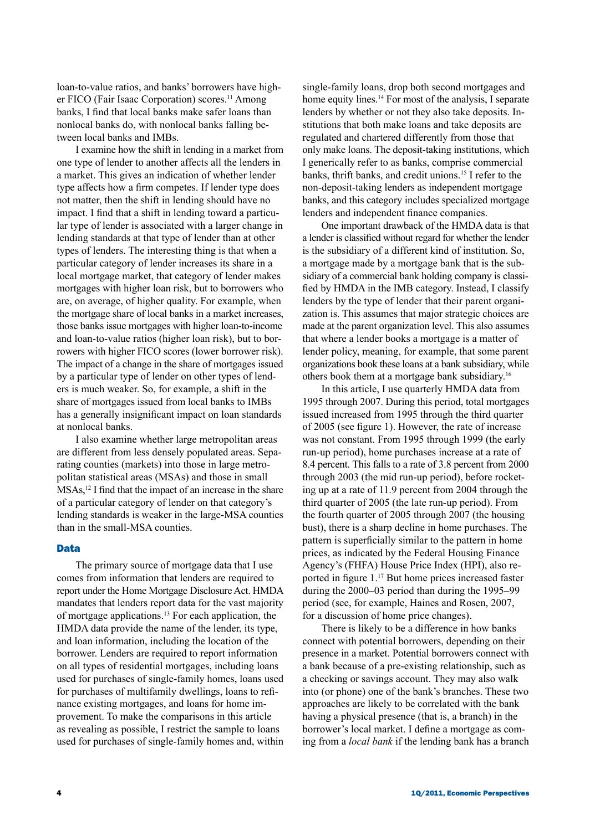loan-to-value ratios, and banks' borrowers have higher FICO (Fair Isaac Corporation) scores.<sup>11</sup> Among banks, I find that local banks make safer loans than nonlocal banks do, with nonlocal banks falling between local banks and IMBs.

I examine how the shift in lending in a market from one type of lender to another affects all the lenders in a market. This gives an indication of whether lender type affects how a firm competes. If lender type does not matter, then the shift in lending should have no impact. I find that a shift in lending toward a particular type of lender is associated with a larger change in lending standards at that type of lender than at other types of lenders. The interesting thing is that when a particular category of lender increases its share in a local mortgage market, that category of lender makes mortgages with higher loan risk, but to borrowers who are, on average, of higher quality. For example, when the mortgage share of local banks in a market increases, those banks issue mortgages with higher loan-to-income and loan-to-value ratios (higher loan risk), but to borrowers with higher FICO scores (lower borrower risk). The impact of a change in the share of mortgages issued by a particular type of lender on other types of lenders is much weaker. So, for example, a shift in the share of mortgages issued from local banks to IMBs has a generally insignificant impact on loan standards at nonlocal banks.

I also examine whether large metropolitan areas are different from less densely populated areas. Separating counties (markets) into those in large metropolitan statistical areas (MSAs) and those in small MSAs,<sup>12</sup> I find that the impact of an increase in the share of a particular category of lender on that category's lending standards is weaker in the large-MSA counties than in the small-MSA counties.

## Data

The primary source of mortgage data that I use comes from information that lenders are required to report under the Home Mortgage Disclosure Act. HMDA mandates that lenders report data for the vast majority of mortgage applications.13 For each application, the HMDA data provide the name of the lender, its type, and loan information, including the location of the borrower. Lenders are required to report information on all types of residential mortgages, including loans used for purchases of single-family homes, loans used for purchases of multifamily dwellings, loans to refinance existing mortgages, and loans for home improvement. To make the comparisons in this article as revealing as possible, I restrict the sample to loans used for purchases of single-family homes and, within

single-family loans, drop both second mortgages and home equity lines.<sup>14</sup> For most of the analysis, I separate lenders by whether or not they also take deposits. Institutions that both make loans and take deposits are regulated and chartered differently from those that only make loans. The deposit-taking institutions, which I generically refer to as banks, comprise commercial banks, thrift banks, and credit unions.15 I refer to the non-deposit-taking lenders as independent mortgage banks, and this category includes specialized mortgage lenders and independent finance companies.

One important drawback of the HMDA data is that a lender is classified without regard for whether the lender is the subsidiary of a different kind of institution. So, a mortgage made by a mortgage bank that is the subsidiary of a commercial bank holding company is classified by HMDA in the IMB category. Instead, I classify lenders by the type of lender that their parent organization is. This assumes that major strategic choices are made at the parent organization level. This also assumes that where a lender books a mortgage is a matter of lender policy, meaning, for example, that some parent organizations book these loans at a bank subsidiary, while others book them at a mortgage bank subsidiary.16

In this article, I use quarterly HMDA data from 1995 through 2007. During this period, total mortgages issued increased from 1995 through the third quarter of 2005 (see figure 1). However, the rate of increase was not constant. From 1995 through 1999 (the early run-up period), home purchases increase at a rate of 8.4 percent. This falls to a rate of 3.8 percent from 2000 through 2003 (the mid run-up period), before rocketing up at a rate of 11.9 percent from 2004 through the third quarter of 2005 (the late run-up period). From the fourth quarter of 2005 through 2007 (the housing bust), there is a sharp decline in home purchases. The pattern is superficially similar to the pattern in home prices, as indicated by the Federal Housing Finance Agency's (FHFA) House Price Index (HPI), also reported in figure 1.17 But home prices increased faster during the 2000–03 period than during the 1995–99 period (see, for example, Haines and Rosen, 2007, for a discussion of home price changes).

There is likely to be a difference in how banks connect with potential borrowers, depending on their presence in a market. Potential borrowers connect with a bank because of a pre-existing relationship, such as a checking or savings account. They may also walk into (or phone) one of the bank's branches. These two approaches are likely to be correlated with the bank having a physical presence (that is, a branch) in the borrower's local market. I define a mortgage as coming from a *local bank* if the lending bank has a branch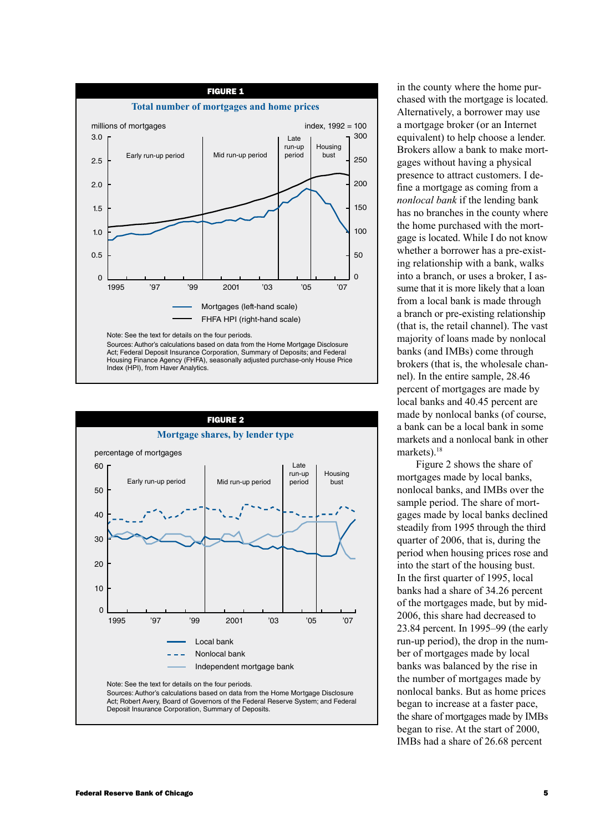



in the county where the home purchased with the mortgage is located. Alternatively, a borrower may use a mortgage broker (or an Internet equivalent) to help choose a lender. Brokers allow a bank to make mortgages without having a physical presence to attract customers. I define a mortgage as coming from a *nonlocal bank* if the lending bank has no branches in the county where the home purchased with the mortgage is located. While I do not know whether a borrower has a pre-existing relationship with a bank, walks into a branch, or uses a broker, I assume that it is more likely that a loan from a local bank is made through a branch or pre-existing relationship (that is, the retail channel). The vast majority of loans made by nonlocal banks (and IMBs) come through brokers (that is, the wholesale channel). In the entire sample, 28.46 percent of mortgages are made by local banks and 40.45 percent are made by nonlocal banks (of course, a bank can be a local bank in some markets and a nonlocal bank in other markets).<sup>18</sup>

Figure 2 shows the share of mortgages made by local banks, nonlocal banks, and IMBs over the sample period. The share of mortgages made by local banks declined steadily from 1995 through the third quarter of 2006, that is, during the period when housing prices rose and into the start of the housing bust. In the first quarter of 1995, local banks had a share of 34.26 percent of the mortgages made, but by mid-2006, this share had decreased to 23.84 percent. In 1995–99 (the early run-up period), the drop in the number of mortgages made by local banks was balanced by the rise in the number of mortgages made by nonlocal banks. But as home prices began to increase at a faster pace, the share of mortgages made by IMBs began to rise. At the start of 2000, IMBs had a share of 26.68 percent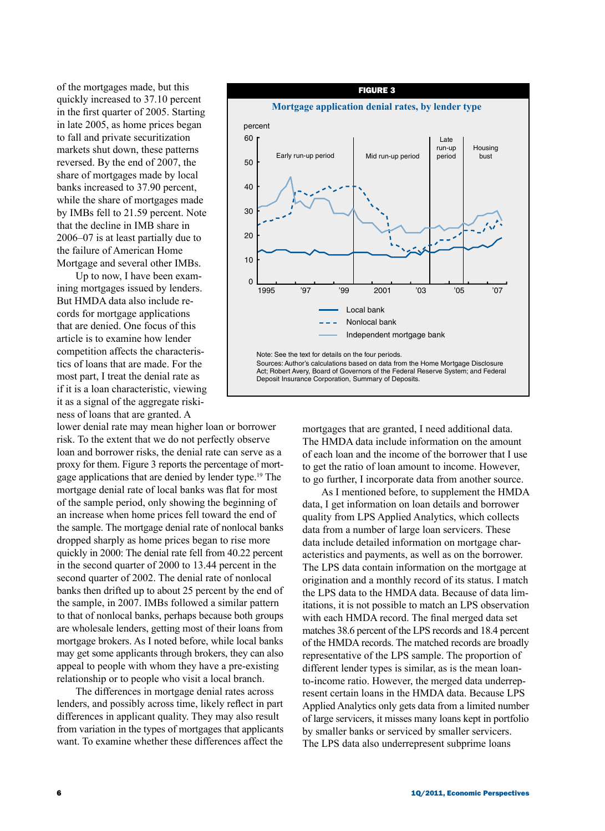of the mortgages made, but this quickly increased to 37.10 percent in the first quarter of 2005. Starting in late 2005, as home prices began to fall and private securitization markets shut down, these patterns reversed. By the end of 2007, the share of mortgages made by local banks increased to 37.90 percent, while the share of mortgages made by IMBs fell to 21.59 percent. Note that the decline in IMB share in 2006–07 is at least partially due to the failure of American Home Mortgage and several other IMBs.

Up to now, I have been examining mortgages issued by lenders. But HMDA data also include records for mortgage applications that are denied. One focus of this article is to examine how lender competition affects the characteristics of loans that are made. For the most part, I treat the denial rate as if it is a loan characteristic, viewing it as a signal of the aggregate riskiness of loans that are granted. A

lower denial rate may mean higher loan or borrower risk. To the extent that we do not perfectly observe loan and borrower risks, the denial rate can serve as a proxy for them. Figure 3 reports the percentage of mortgage applications that are denied by lender type.19 The mortgage denial rate of local banks was flat for most of the sample period, only showing the beginning of an increase when home prices fell toward the end of the sample. The mortgage denial rate of nonlocal banks dropped sharply as home prices began to rise more quickly in 2000: The denial rate fell from 40.22 percent in the second quarter of 2000 to 13.44 percent in the second quarter of 2002. The denial rate of nonlocal banks then drifted up to about 25 percent by the end of the sample, in 2007. IMBs followed a similar pattern to that of nonlocal banks, perhaps because both groups are wholesale lenders, getting most of their loans from mortgage brokers. As I noted before, while local banks may get some applicants through brokers, they can also appeal to people with whom they have a pre-existing relationship or to people who visit a local branch.

The differences in mortgage denial rates across lenders, and possibly across time, likely reflect in part differences in applicant quality. They may also result from variation in the types of mortgages that applicants want. To examine whether these differences affect the



mortgages that are granted, I need additional data. The HMDA data include information on the amount of each loan and the income of the borrower that I use to get the ratio of loan amount to income. However, to go further, I incorporate data from another source.

As I mentioned before, to supplement the HMDA data, I get information on loan details and borrower quality from LPS Applied Analytics, which collects data from a number of large loan servicers. These data include detailed information on mortgage characteristics and payments, as well as on the borrower. The LPS data contain information on the mortgage at origination and a monthly record of its status. I match the LPS data to the HMDA data. Because of data limitations, it is not possible to match an LPS observation with each HMDA record. The final merged data set matches 38.6 percent of the LPS records and 18.4 percent of the HMDA records. The matched records are broadly representative of the LPS sample. The proportion of different lender types is similar, as is the mean loanto-income ratio. However, the merged data underrepresent certain loans in the HMDA data. Because LPS Applied Analytics only gets data from a limited number of large servicers, it misses many loans kept in portfolio by smaller banks or serviced by smaller servicers. The LPS data also underrepresent subprime loans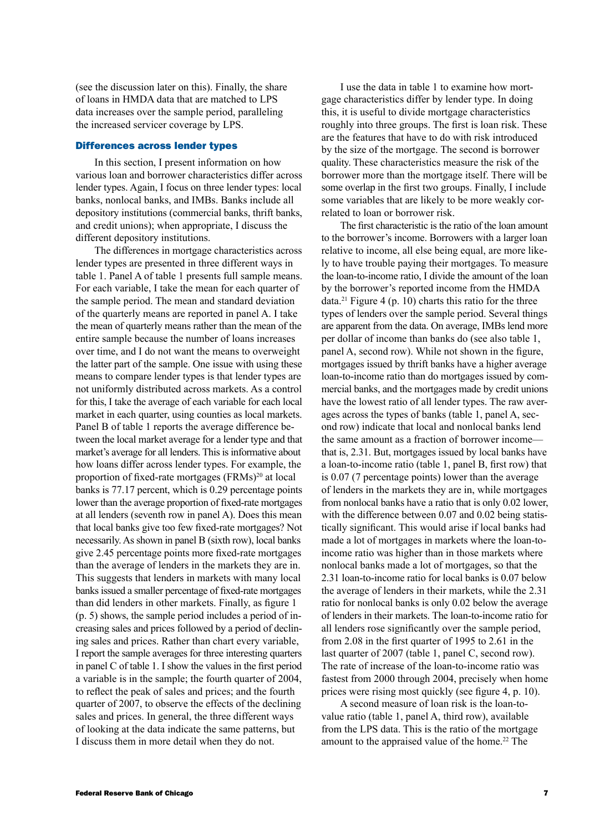(see the discussion later on this). Finally, the share of loans in HMDA data that are matched to LPS data increases over the sample period, paralleling the increased servicer coverage by LPS.

#### Differences across lender types

In this section, I present information on how various loan and borrower characteristics differ across lender types. Again, I focus on three lender types: local banks, nonlocal banks, and IMBs. Banks include all depository institutions (commercial banks, thrift banks, and credit unions); when appropriate, I discuss the different depository institutions.

The differences in mortgage characteristics across lender types are presented in three different ways in table 1. Panel A of table 1 presents full sample means. For each variable, I take the mean for each quarter of the sample period. The mean and standard deviation of the quarterly means are reported in panel A. I take the mean of quarterly means rather than the mean of the entire sample because the number of loans increases over time, and I do not want the means to overweight the latter part of the sample. One issue with using these means to compare lender types is that lender types are not uniformly distributed across markets. As a control for this, I take the average of each variable for each local market in each quarter, using counties as local markets. Panel B of table 1 reports the average difference between the local market average for a lender type and that market's average for all lenders. This is informative about how loans differ across lender types. For example, the proportion of fixed-rate mortgages (FRMs)<sup>20</sup> at local banks is 77.17 percent, which is 0.29 percentage points lower than the average proportion of fixed-rate mortgages at all lenders (seventh row in panel A). Does this mean that local banks give too few fixed-rate mortgages? Not necessarily. As shown in panel B (sixth row), local banks give 2.45 percentage points more fixed-rate mortgages than the average of lenders in the markets they are in. This suggests that lenders in markets with many local banks issued a smaller percentage of fixed-rate mortgages than did lenders in other markets. Finally, as figure 1 (p. 5) shows, the sample period includes a period of increasing sales and prices followed by a period of declining sales and prices. Rather than chart every variable, I report the sample averages for three interesting quarters in panel C of table 1. I show the values in the first period a variable is in the sample; the fourth quarter of 2004, to reflect the peak of sales and prices; and the fourth quarter of 2007, to observe the effects of the declining sales and prices. In general, the three different ways of looking at the data indicate the same patterns, but I discuss them in more detail when they do not.

I use the data in table 1 to examine how mortgage characteristics differ by lender type. In doing this, it is useful to divide mortgage characteristics roughly into three groups. The first is loan risk. These are the features that have to do with risk introduced by the size of the mortgage. The second is borrower quality. These characteristics measure the risk of the borrower more than the mortgage itself. There will be some overlap in the first two groups. Finally, I include some variables that are likely to be more weakly correlated to loan or borrower risk.

The first characteristic is the ratio of the loan amount to the borrower's income. Borrowers with a larger loan relative to income, all else being equal, are more likely to have trouble paying their mortgages. To measure the loan-to-income ratio, I divide the amount of the loan by the borrower's reported income from the HMDA  $data.<sup>21</sup>$  Figure 4 (p. 10) charts this ratio for the three types of lenders over the sample period. Several things are apparent from the data. On average, IMBs lend more per dollar of income than banks do (see also table 1, panel A, second row). While not shown in the figure, mortgages issued by thrift banks have a higher average loan-to-income ratio than do mortgages issued by commercial banks, and the mortgages made by credit unions have the lowest ratio of all lender types. The raw averages across the types of banks (table 1, panel A, second row) indicate that local and nonlocal banks lend the same amount as a fraction of borrower income that is, 2.31. But, mortgages issued by local banks have a loan-to-income ratio (table 1, panel B, first row) that is 0.07 (7 percentage points) lower than the average of lenders in the markets they are in, while mortgages from nonlocal banks have a ratio that is only 0.02 lower, with the difference between 0.07 and 0.02 being statistically significant. This would arise if local banks had made a lot of mortgages in markets where the loan-toincome ratio was higher than in those markets where nonlocal banks made a lot of mortgages, so that the 2.31 loan-to-income ratio for local banks is 0.07 below the average of lenders in their markets, while the 2.31 ratio for nonlocal banks is only 0.02 below the average of lenders in their markets. The loan-to-income ratio for all lenders rose significantly over the sample period, from 2.08 in the first quarter of 1995 to 2.61 in the last quarter of 2007 (table 1, panel C, second row). The rate of increase of the loan-to-income ratio was fastest from 2000 through 2004, precisely when home prices were rising most quickly (see figure 4, p. 10).

A second measure of loan risk is the loan-tovalue ratio (table 1, panel A, third row), available from the LPS data. This is the ratio of the mortgage amount to the appraised value of the home.<sup>22</sup> The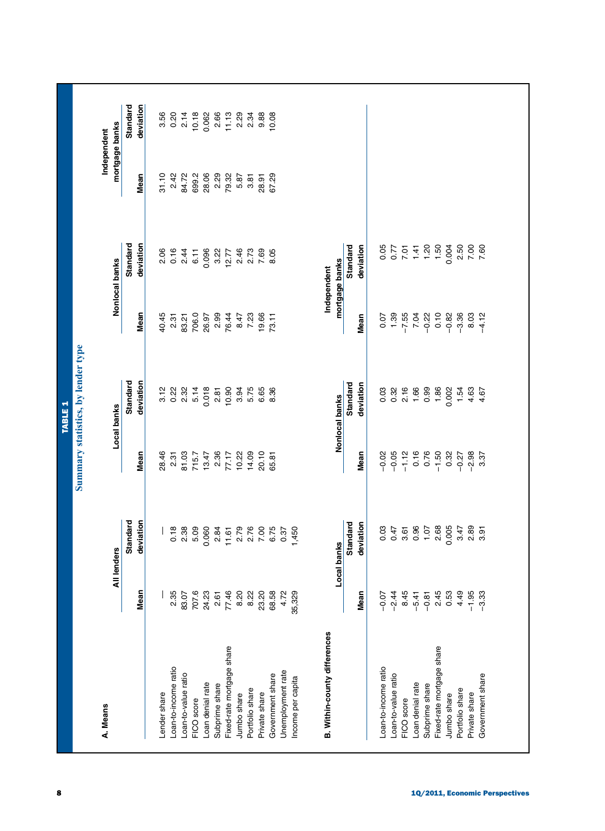| A. Means                            |                 |                            |                                          |                                           |                                                    |                              |               | Independent                                             |
|-------------------------------------|-----------------|----------------------------|------------------------------------------|-------------------------------------------|----------------------------------------------------|------------------------------|---------------|---------------------------------------------------------|
|                                     |                 | All lenders                |                                          | Local banks                               |                                                    | Nonlocal banks               |               | mortgage banks                                          |
|                                     | Mean            | Standard<br>deviation      | Mean                                     | Standard<br>deviation                     |                                                    | Standard<br>deviation        |               | Standard<br>deviation                                   |
|                                     |                 |                            |                                          |                                           | Mean                                               |                              | Mean          |                                                         |
| Lender share                        |                 |                            |                                          | 3.12                                      |                                                    |                              | 31.10         |                                                         |
| Loan-to-income ratio                | 2.35            |                            |                                          | 0.22<br>2.32                              |                                                    | 2.06<br>0.16                 | 2.42<br>84.72 |                                                         |
| Loan-to-value ratio                 | 83.07           |                            |                                          |                                           |                                                    | 2.44                         |               |                                                         |
| FICO score                          | 707.6           | 0.78<br>0.88<br>0.9        | 28.46<br>2.31<br>81.03<br>715.7          | 5.14                                      | $45.37$<br>$45.37$<br>$45.37$<br>$45.37$<br>$60.0$ | 6.11                         | 699.2         |                                                         |
| Loan denial rate                    | 24.23           | 0.060                      |                                          | 0.018                                     |                                                    | 0.096                        | 28.06         |                                                         |
| Subprime share                      | 2.61<br>77.46   | 2<br>27000 275<br>2700 275 | $77.17$<br>7.17                          | 2.81                                      | 26.97<br>2.99<br>76.44                             | 3.22                         | 2.29<br>79.32 |                                                         |
| Fixed-rate mortgage share           |                 |                            |                                          | 10.90                                     |                                                    | 12.77                        |               |                                                         |
| Jumbo share                         | 8.20            |                            |                                          | 3.94                                      | 8.47                                               | 2.46                         | 5.87          |                                                         |
| Portfolio share                     | 8.22            |                            | $10.20$<br>$14.09$<br>$26.81$<br>$65.81$ | 5.75                                      | 7.23                                               | 2.73                         | 3.81          |                                                         |
| Private share                       | 23.20           |                            |                                          | 6.65                                      | 19.66<br>73.11                                     | 7.69                         | 28.91         |                                                         |
| Government share                    | 68.58           |                            |                                          | 8.36                                      |                                                    | 8.05                         | 67.29         | $0.068$ $0.068$ $0.078$ $0.078$ $0.078$ $0.078$ $0.078$ |
| Unemployment rate                   | 4.72            |                            |                                          |                                           |                                                    |                              |               |                                                         |
| Income per capita                   | 35,329          | 1,450                      |                                          |                                           |                                                    |                              |               |                                                         |
| <b>B. Within-county differences</b> |                 |                            |                                          |                                           |                                                    | Independent                  |               |                                                         |
|                                     |                 | Local banks                |                                          | Nonlocal banks                            |                                                    | mortgage banks               |               |                                                         |
|                                     |                 | Standard                   |                                          | Standard                                  |                                                    | Standard                     |               |                                                         |
|                                     | Mean            | deviation                  | Mean                                     | deviation                                 | Mean                                               | deviation                    |               |                                                         |
| Loan-to-income ratio                | $-0.07$         | 0.03                       |                                          |                                           |                                                    |                              |               |                                                         |
| Loan-to-value ratio                 |                 | 0.47                       |                                          |                                           |                                                    |                              |               |                                                         |
| FICO score                          | $-2.44$<br>8.45 | 3.61                       | $-0.05$<br>$-0.12$<br>$-1.12$            |                                           |                                                    |                              |               |                                                         |
| Loan denial rate                    | $-5.41$         | 0.96                       | $0.16$<br>$0.76$<br>$-1.50$              | 0<br>0<br>0<br>0 0 1 0 0 0<br>0 0 1 0 0 0 |                                                    | 8554886<br>2544886<br>254488 |               |                                                         |
| Subprime share                      | $-0.81$         |                            |                                          |                                           |                                                    |                              |               |                                                         |
| Fixed-rate mortgage share           | $2.45$<br>0.53  | $1.07$<br>2.68             |                                          |                                           |                                                    |                              |               |                                                         |
| Jumbo share                         |                 | 0.005                      | 0.32                                     | 0.002                                     |                                                    |                              |               |                                                         |
| Portfolio share                     | 4.49            | 3.47                       | $-0.27$                                  | 1.54                                      |                                                    | 2.50<br>7.50<br>7.7          |               |                                                         |
| Private share                       | $-1.95$         | 2.89                       | $-2.98$                                  | 4.63                                      | $8.03$<br>$4.12$                                   |                              |               |                                                         |
| Government share                    | $-3.33$         | 3.91                       | 3.37                                     | 4.67                                      |                                                    |                              |               |                                                         |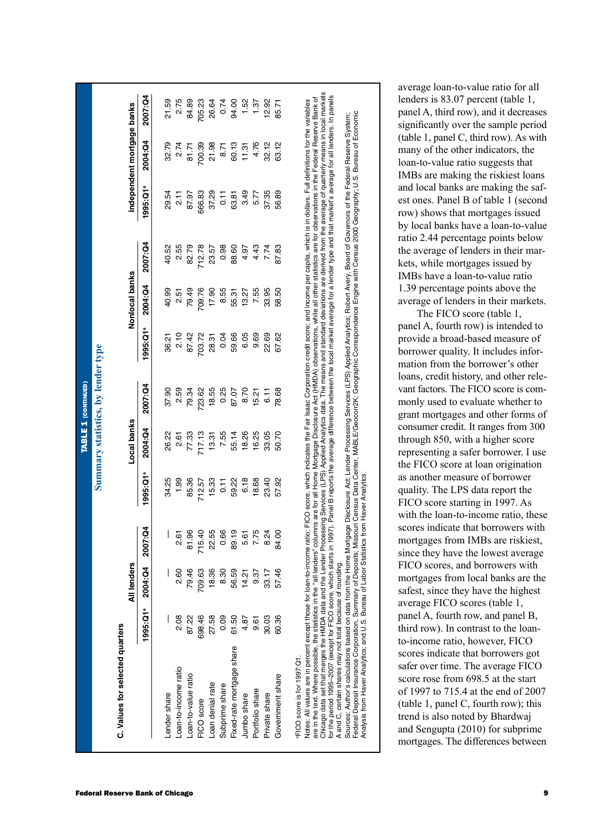|                                                                                                                                                                                                                                                                                                                                                                                                                                                                                                                                                                                                                                                                                                                                                                                                                                                                                                                                                                                                                           |           |             |             |                 |             | <b>TABLE 1 (CONTINUED)</b>         |           |                |         |                                                                                                                                                                                                                                                                                                                                                                                                                                                                                   |                            |         |
|---------------------------------------------------------------------------------------------------------------------------------------------------------------------------------------------------------------------------------------------------------------------------------------------------------------------------------------------------------------------------------------------------------------------------------------------------------------------------------------------------------------------------------------------------------------------------------------------------------------------------------------------------------------------------------------------------------------------------------------------------------------------------------------------------------------------------------------------------------------------------------------------------------------------------------------------------------------------------------------------------------------------------|-----------|-------------|-------------|-----------------|-------------|------------------------------------|-----------|----------------|---------|-----------------------------------------------------------------------------------------------------------------------------------------------------------------------------------------------------------------------------------------------------------------------------------------------------------------------------------------------------------------------------------------------------------------------------------------------------------------------------------|----------------------------|---------|
|                                                                                                                                                                                                                                                                                                                                                                                                                                                                                                                                                                                                                                                                                                                                                                                                                                                                                                                                                                                                                           |           |             |             |                 |             | Summary statistics, by lender type |           |                |         |                                                                                                                                                                                                                                                                                                                                                                                                                                                                                   |                            |         |
| C. Values for selected quarters                                                                                                                                                                                                                                                                                                                                                                                                                                                                                                                                                                                                                                                                                                                                                                                                                                                                                                                                                                                           |           |             |             |                 |             |                                    |           |                |         |                                                                                                                                                                                                                                                                                                                                                                                                                                                                                   |                            |         |
|                                                                                                                                                                                                                                                                                                                                                                                                                                                                                                                                                                                                                                                                                                                                                                                                                                                                                                                                                                                                                           |           | All lenders |             |                 | Local banks |                                    |           | Nonlocal banks |         |                                                                                                                                                                                                                                                                                                                                                                                                                                                                                   | Independent mortgage banks |         |
|                                                                                                                                                                                                                                                                                                                                                                                                                                                                                                                                                                                                                                                                                                                                                                                                                                                                                                                                                                                                                           | 1995: Q1ª | 2004:04     | 007:Q4<br>N | 1995: Q1ª       | 2004:04     | 2007:04                            | 1995: Q1ª | 2004:04        | 2007:04 | 1995: Q1ª                                                                                                                                                                                                                                                                                                                                                                                                                                                                         | 2004:Q4                    | 2007:04 |
| Lender share                                                                                                                                                                                                                                                                                                                                                                                                                                                                                                                                                                                                                                                                                                                                                                                                                                                                                                                                                                                                              |           |             |             | 34.25           | 26.22       | 37.90                              | 36.21     | 40.99          | 40.52   | 29.54                                                                                                                                                                                                                                                                                                                                                                                                                                                                             | 32.79                      | 21.59   |
| Loan-to-income ratio                                                                                                                                                                                                                                                                                                                                                                                                                                                                                                                                                                                                                                                                                                                                                                                                                                                                                                                                                                                                      | 2.08      | 2.60        | 2.61        | 1.99            | 2.61        | 2.59                               | 2.10      | 2.51           | 2.55    | $\frac{1}{2}$                                                                                                                                                                                                                                                                                                                                                                                                                                                                     | 2.74                       | 2.75    |
| Loan-to-value ratio                                                                                                                                                                                                                                                                                                                                                                                                                                                                                                                                                                                                                                                                                                                                                                                                                                                                                                                                                                                                       | 87.22     | 79.46       | 81.96       | 85.36           | 77.33       | 79.34                              | 87.42     | 79.49          | 82.79   | 87.97                                                                                                                                                                                                                                                                                                                                                                                                                                                                             | 81.71                      | 84.89   |
| FICO score                                                                                                                                                                                                                                                                                                                                                                                                                                                                                                                                                                                                                                                                                                                                                                                                                                                                                                                                                                                                                | 698.46    | 709.63      | 715.40      | 712.57          | 717.13      | 23.62                              | 703.72    | 709.76         | 712.78  | 666.83                                                                                                                                                                                                                                                                                                                                                                                                                                                                            | 700.39                     | 705.23  |
| Loan denial rate                                                                                                                                                                                                                                                                                                                                                                                                                                                                                                                                                                                                                                                                                                                                                                                                                                                                                                                                                                                                          | 27.58     | 18.36       | 22.55       | 15.33           | 13.31       | 18.55                              | 28.31     | 17.90          | 23.57   | 37.29                                                                                                                                                                                                                                                                                                                                                                                                                                                                             | 21.98                      | 26.64   |
| Subprime share                                                                                                                                                                                                                                                                                                                                                                                                                                                                                                                                                                                                                                                                                                                                                                                                                                                                                                                                                                                                            | 0.09      | 8.30        | 0.66        | $\overline{11}$ | 7.55        | 0.25                               | 0.04      | 8.55           | 0.98    | $\overline{11}$                                                                                                                                                                                                                                                                                                                                                                                                                                                                   | 8.71                       | 0.74    |
| Fixed-rate mortgage share                                                                                                                                                                                                                                                                                                                                                                                                                                                                                                                                                                                                                                                                                                                                                                                                                                                                                                                                                                                                 | 61.50     | 56.59       | 89.19       | 59.22           | 55.14       | 87.07                              | 59.66     | 55.31          | 88.60   | 63.81                                                                                                                                                                                                                                                                                                                                                                                                                                                                             | 60.13                      | 94.00   |
| Jumbo share                                                                                                                                                                                                                                                                                                                                                                                                                                                                                                                                                                                                                                                                                                                                                                                                                                                                                                                                                                                                               | 4.87      | 14.21       | 5.61        | 6.18            | 18.26       | 8.70                               | 6.05      | 13.27          | 4.97    | 3.49                                                                                                                                                                                                                                                                                                                                                                                                                                                                              | 11.31                      | 1.52    |
| Portfolio share                                                                                                                                                                                                                                                                                                                                                                                                                                                                                                                                                                                                                                                                                                                                                                                                                                                                                                                                                                                                           | 9.61      | 9.37        | 7.75        | 18.68           | 16.25       | 5.21                               | 9.69      | 7.55           | 4.43    | 5.77                                                                                                                                                                                                                                                                                                                                                                                                                                                                              | 4.76                       | 1.37    |
| Private share                                                                                                                                                                                                                                                                                                                                                                                                                                                                                                                                                                                                                                                                                                                                                                                                                                                                                                                                                                                                             | 30.03     | 33.17       | 8.24        | 23.40           | 33.05       | <del>ا ۱ـ</del>                    | 22.69     | 33.95          | 7.74    | 37.35                                                                                                                                                                                                                                                                                                                                                                                                                                                                             | 32.12                      | 12.92   |
| Government share                                                                                                                                                                                                                                                                                                                                                                                                                                                                                                                                                                                                                                                                                                                                                                                                                                                                                                                                                                                                          | 60.36     | 57.46       | 84.00       | 57.92           | 50.70       | 78.68                              | 67.62     | 58.50          | 87.83   | 56.89                                                                                                                                                                                                                                                                                                                                                                                                                                                                             | 63.12                      | 85.71   |
| are in the text. Where possible, the statistics in the "all lenders" columns are for all Mortgage Disclosure Act (HMDA) observations, while all other statistics are for observations in the Federal Reserve Bank of<br>Federal Deposit Insurance Corporation, Summary of Deposits; Missouri Census Data Center, MABLE/Geocorr2K: Geographic Correspondence Engine with Census 2000 Geography; U.S. Bureau of Economic<br>Sources: Author's calculations based on data from the Home Mortgage Disclosure Act; Lender Processing Services (LPS) Applied Analytics; Robert Avery, Board of Governors of the Federal Reserve System;<br>Analysis from Haver Analytics; and U.S. Bureau of Labor Statistics from Haver Analytics<br>Votes: All values are in percent except those for loan-to-incom<br>Chicago data set that merges the HMDA data and the Lender<br>for the period 1995-2007 (except for FICO score, which starts<br>A and C, certain shares may not total because of rounding.<br>FICO score is for 1997:Q1. |           |             |             |                 |             |                                    |           |                |         | Processing Services (LPS) Applied Analytics data. The means and standard deviations are derived from the average of quarterly means in local markets<br>in 1997). Panel B reports the average difference between the local market average for a lender type and that market's average for all lenders. In panels<br>ne ratio: FICO score, which indicates the Fair Isaac Corporation credit score; and income per capita, which is in dollars. Full definitions for the variables |                            |         |

average loan-to-value ratio for all lenders is 83.07 percent (table 1, panel A, third row), and it decreases significantly over the sample period (table 1, panel C, third row). As with many of the other indicators, the loan-to-value ratio suggests that IMBs are making the riskiest loans and local banks are making the safest ones. Panel B of table 1 (second row) shows that mortgages issued by local banks have a loan-to-value ratio 2.44 percentage points below the average of lenders in their mar kets, while mortgages issued by IMBs have a loan-to-value ratio 1.39 percentage points above the average of lenders in their markets.

The FICO score (table 1, panel A, fourth row) is intended to provide a broad-based measure of borrower quality. It includes infor mation from the borrower's other loans, credit history, and other relevant factors. The FICO score is com monly used to evaluate whether to grant mortgages and other forms of consumer credit. It ranges from 300 through 850, with a higher score representing a safer borrower. I use the FICO score at loan origination as another measure of borrower quality. The LPS data report the FICO score starting in 1997. As with the loan-to-income ratio, these scores indicate that borrowers with mortgages from IMBs are riskiest, since they have the lowest average FICO scores, and borrowers with mortgages from local banks are the safest, since they have the highest average FICO scores (table 1, panel A, fourth row, and panel B, third row). In contrast to the loanto-income ratio, however, FICO scores indicate that borrowers got safer over time. The average FICO score rose from 698.5 at the start of 1997 to 715.4 at the end of 2007 (table 1, panel C, fourth row); this trend is also noted by Bhardwaj and Sengupta (2010) for subprime mortgages. The differences between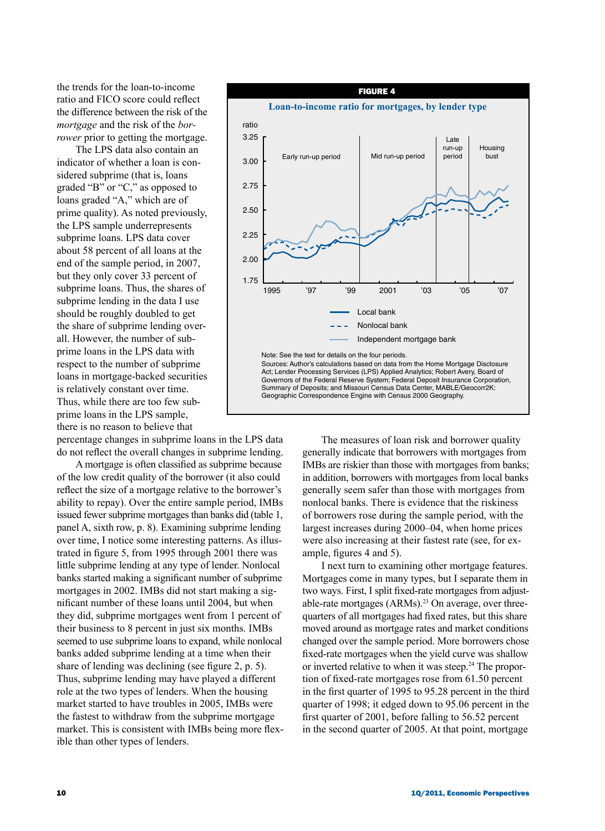the trends for the loan-to-income ratio and FICO score could reflect the difference between the risk of the *mortgage* and the risk of the *borrower* prior to getting the mortgage.

The LPS data also contain an indicator of whether a loan is considered subprime (that is, loans graded "B" or "C," as opposed to loans graded "A," which are of prime quality). As noted previously, the LPS sample underrepresents subprime loans. LPS data cover about 58 percent of all loans at the end of the sample period, in 2007, but they only cover 33 percent of subprime loans. Thus, the shares of subprime lending in the data I use should be roughly doubled to get the share of subprime lending overall. However, the number of subprime loans in the LPS data with respect to the number of subprime loans in mortgage-backed securities is relatively constant over time. Thus, while there are too few subprime loans in the LPS sample, there is no reason to believe that

percentage changes in subprime loans in the LPS data do not reflect the overall changes in subprime lending.

A mortgage is often classified as subprime because of the low credit quality of the borrower (it also could reflect the size of a mortgage relative to the borrower's ability to repay). Over the entire sample period, IMBs issued fewer subprime mortgages than banks did (table 1, panel A, sixth row, p. 8). Examining subprime lending over time, I notice some interesting patterns. As illustrated in figure 5, from 1995 through 2001 there was little subprime lending at any type of lender. Nonlocal banks started making a significant number of subprime mortgages in 2002. IMBs did not start making a significant number of these loans until 2004, but when they did, subprime mortgages went from 1 percent of their business to 8 percent in just six months. IMBs seemed to use subprime loans to expand, while nonlocal banks added subprime lending at a time when their share of lending was declining (see figure 2, p. 5). Thus, subprime lending may have played a different role at the two types of lenders. When the housing market started to have troubles in 2005, IMBs were the fastest to withdraw from the subprime mortgage market. This is consistent with IMBs being more flexible than other types of lenders.



The measures of loan risk and borrower quality generally indicate that borrowers with mortgages from IMBs are riskier than those with mortgages from banks; in addition, borrowers with mortgages from local banks generally seem safer than those with mortgages from nonlocal banks. There is evidence that the riskiness of borrowers rose during the sample period, with the largest increases during 2000–04, when home prices were also increasing at their fastest rate (see, for example, figures 4 and 5).

I next turn to examining other mortgage features. Mortgages come in many types, but I separate them in two ways. First, I split fixed-rate mortgages from adjustable-rate mortgages (ARMs).<sup>23</sup> On average, over threequarters of all mortgages had fixed rates, but this share moved around as mortgage rates and market conditions changed over the sample period. More borrowers chose fixed-rate mortgages when the yield curve was shallow or inverted relative to when it was steep.<sup>24</sup> The proportion of fixed-rate mortgages rose from 61.50 percent in the first quarter of 1995 to 95.28 percent in the third quarter of 1998; it edged down to 95.06 percent in the first quarter of 2001, before falling to 56.52 percent in the second quarter of 2005. At that point, mortgage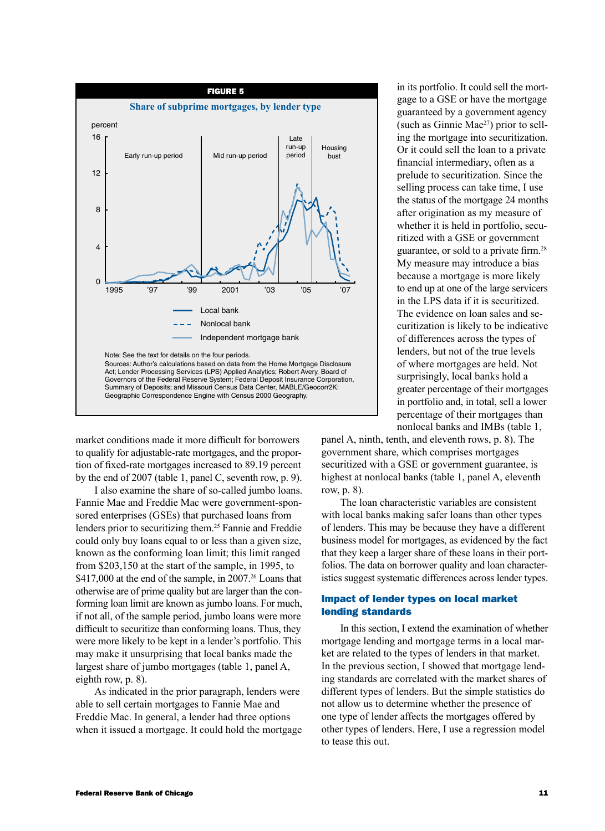

market conditions made it more difficult for borrowers to qualify for adjustable-rate mortgages, and the proportion of fixed-rate mortgages increased to 89.19 percent by the end of 2007 (table 1, panel C, seventh row, p. 9).

I also examine the share of so-called jumbo loans. Fannie Mae and Freddie Mac were government-sponsored enterprises (GSEs) that purchased loans from lenders prior to securitizing them.25 Fannie and Freddie could only buy loans equal to or less than a given size, known as the conforming loan limit; this limit ranged from \$203,150 at the start of the sample, in 1995, to \$417,000 at the end of the sample, in  $2007<sup>26</sup>$  Loans that otherwise are of prime quality but are larger than the conforming loan limit are known as jumbo loans. For much, if not all, of the sample period, jumbo loans were more difficult to securitize than conforming loans. Thus, they were more likely to be kept in a lender's portfolio. This may make it unsurprising that local banks made the largest share of jumbo mortgages (table 1, panel A, eighth row, p. 8).

As indicated in the prior paragraph, lenders were able to sell certain mortgages to Fannie Mae and Freddie Mac. In general, a lender had three options when it issued a mortgage. It could hold the mortgage

in its portfolio. It could sell the mortgage to a GSE or have the mortgage guaranteed by a government agency (such as Ginnie Mae<sup>27</sup>) prior to selling the mortgage into securitization. Or it could sell the loan to a private financial intermediary, often as a prelude to securitization. Since the selling process can take time, I use the status of the mortgage 24 months after origination as my measure of whether it is held in portfolio, securitized with a GSE or government guarantee, or sold to a private firm.28 My measure may introduce a bias because a mortgage is more likely to end up at one of the large servicers in the LPS data if it is securitized. The evidence on loan sales and securitization is likely to be indicative of differences across the types of lenders, but not of the true levels of where mortgages are held. Not surprisingly, local banks hold a greater percentage of their mortgages in portfolio and, in total, sell a lower percentage of their mortgages than nonlocal banks and IMBs (table 1,

panel A, ninth, tenth, and eleventh rows, p. 8). The government share, which comprises mortgages securitized with a GSE or government guarantee, is highest at nonlocal banks (table 1, panel A, eleventh row, p. 8).

The loan characteristic variables are consistent with local banks making safer loans than other types of lenders. This may be because they have a different business model for mortgages, as evidenced by the fact that they keep a larger share of these loans in their portfolios. The data on borrower quality and loan characteristics suggest systematic differences across lender types.

# Impact of lender types on local market lending standards

In this section, I extend the examination of whether mortgage lending and mortgage terms in a local market are related to the types of lenders in that market. In the previous section, I showed that mortgage lending standards are correlated with the market shares of different types of lenders. But the simple statistics do not allow us to determine whether the presence of one type of lender affects the mortgages offered by other types of lenders. Here, I use a regression model to tease this out.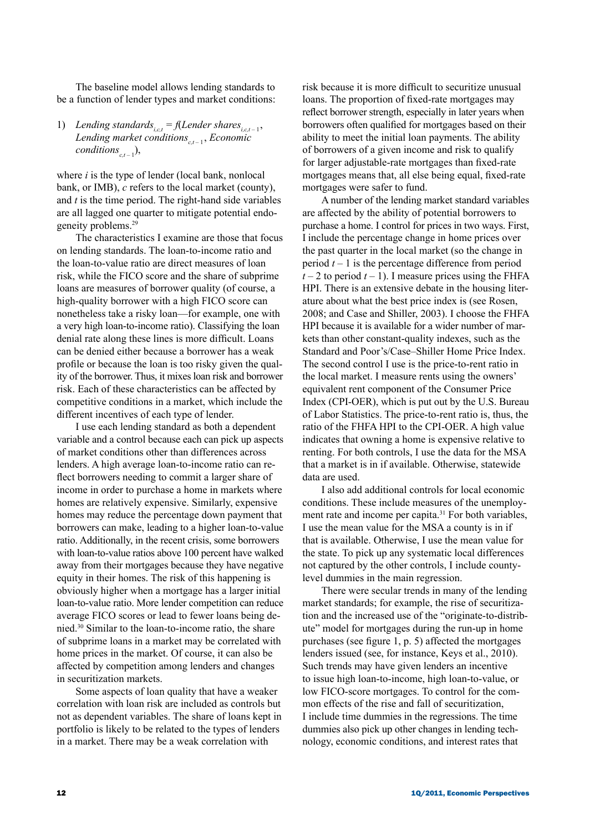The baseline model allows lending standards to be a function of lender types and market conditions:

1) *Lending standards*<sub>*i.c,t</sub>* = *f*(*Lender shares*<sub>*i.c,t* – 1</sub>,</sub> *Lending market conditions<sub>ct-1</sub></sub>, Economic*  $conditions_{c,t-1}),$ 

where *i* is the type of lender (local bank, nonlocal bank, or IMB), *c* refers to the local market (county), and *t* is the time period. The right-hand side variables are all lagged one quarter to mitigate potential endogeneity problems.29

The characteristics I examine are those that focus on lending standards. The loan-to-income ratio and the loan-to-value ratio are direct measures of loan risk, while the FICO score and the share of subprime loans are measures of borrower quality (of course, a high-quality borrower with a high FICO score can nonetheless take a risky loan—for example, one with a very high loan-to-income ratio). Classifying the loan denial rate along these lines is more difficult. Loans can be denied either because a borrower has a weak profile or because the loan is too risky given the quality of the borrower. Thus, it mixes loan risk and borrower risk. Each of these characteristics can be affected by competitive conditions in a market, which include the different incentives of each type of lender.

I use each lending standard as both a dependent variable and a control because each can pick up aspects of market conditions other than differences across lenders. A high average loan-to-income ratio can reflect borrowers needing to commit a larger share of income in order to purchase a home in markets where homes are relatively expensive. Similarly, expensive homes may reduce the percentage down payment that borrowers can make, leading to a higher loan-to-value ratio. Additionally, in the recent crisis, some borrowers with loan-to-value ratios above 100 percent have walked away from their mortgages because they have negative equity in their homes. The risk of this happening is obviously higher when a mortgage has a larger initial loan-to-value ratio. More lender competition can reduce average FICO scores or lead to fewer loans being denied.30 Similar to the loan-to-income ratio, the share of subprime loans in a market may be correlated with home prices in the market. Of course, it can also be affected by competition among lenders and changes in securitization markets.

Some aspects of loan quality that have a weaker correlation with loan risk are included as controls but not as dependent variables. The share of loans kept in portfolio is likely to be related to the types of lenders in a market. There may be a weak correlation with

risk because it is more difficult to securitize unusual loans. The proportion of fixed-rate mortgages may reflect borrower strength, especially in later years when borrowers often qualified for mortgages based on their ability to meet the initial loan payments. The ability of borrowers of a given income and risk to qualify for larger adjustable-rate mortgages than fixed-rate mortgages means that, all else being equal, fixed-rate mortgages were safer to fund.

A number of the lending market standard variables are affected by the ability of potential borrowers to purchase a home. I control for prices in two ways. First, I include the percentage change in home prices over the past quarter in the local market (so the change in period  $t - 1$  is the percentage difference from period  $t - 2$  to period  $t - 1$ ). I measure prices using the FHFA HPI. There is an extensive debate in the housing literature about what the best price index is (see Rosen, 2008; and Case and Shiller, 2003). I choose the FHFA HPI because it is available for a wider number of markets than other constant-quality indexes, such as the Standard and Poor's/Case–Shiller Home Price Index. The second control I use is the price-to-rent ratio in the local market. I measure rents using the owners' equivalent rent component of the Consumer Price Index (CPI-OER), which is put out by the U.S. Bureau of Labor Statistics. The price-to-rent ratio is, thus, the ratio of the FHFA HPI to the CPI-OER. A high value indicates that owning a home is expensive relative to renting. For both controls, I use the data for the MSA that a market is in if available. Otherwise, statewide data are used.

I also add additional controls for local economic conditions. These include measures of the unemployment rate and income per capita.<sup>31</sup> For both variables, I use the mean value for the MSA a county is in if that is available. Otherwise, I use the mean value for the state. To pick up any systematic local differences not captured by the other controls, I include countylevel dummies in the main regression.

There were secular trends in many of the lending market standards; for example, the rise of securitization and the increased use of the "originate-to-distribute" model for mortgages during the run-up in home purchases (see figure 1, p. 5) affected the mortgages lenders issued (see, for instance, Keys et al., 2010). Such trends may have given lenders an incentive to issue high loan-to-income, high loan-to-value, or low FICO-score mortgages. To control for the common effects of the rise and fall of securitization, I include time dummies in the regressions. The time dummies also pick up other changes in lending technology, economic conditions, and interest rates that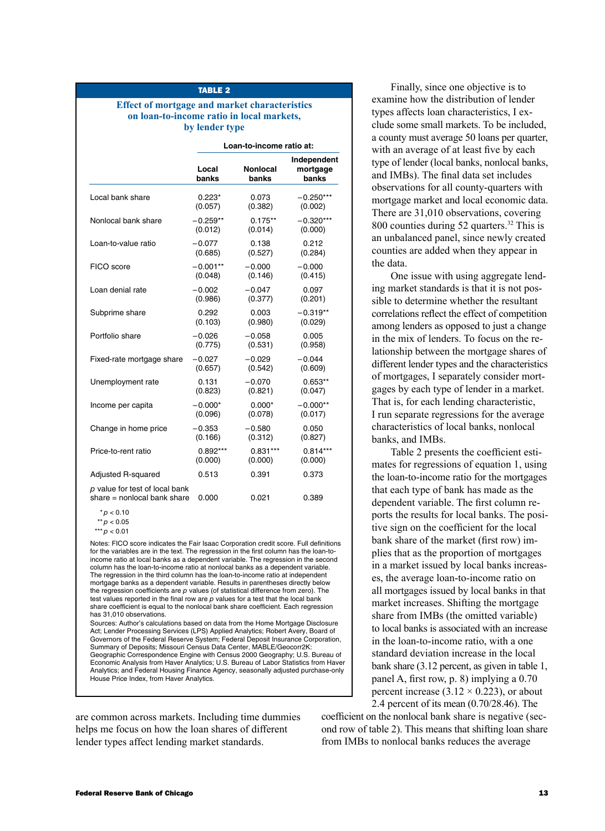## TABLE<sub>2</sub>

## **Effect of mortgage and market characteristics on loan-to-income ratio in local markets, by lender type**

|                                                                 |                | Loan-to-income ratio at: |                                  |
|-----------------------------------------------------------------|----------------|--------------------------|----------------------------------|
|                                                                 | Local<br>banks | Nonlocal<br>banks        | Independent<br>mortgage<br>banks |
| Local bank share                                                | $0.223*$       | 0.073                    | $-0.250***$                      |
|                                                                 | (0.057)        | (0.382)                  | (0.002)                          |
| Nonlocal bank share                                             | $-0.259**$     | $0.175**$                | $-0.320***$                      |
|                                                                 | (0.012)        | (0.014)                  | (0.000)                          |
| Loan-to-value ratio                                             | $-0.077$       | 0.138                    | 0.212                            |
|                                                                 | (0.685)        | (0.527)                  | (0.284)                          |
| FICO score                                                      | $-0.001**$     | $-0.000$                 | $-0.000$                         |
|                                                                 | (0.048)        | (0.146)                  | (0.415)                          |
| Loan denial rate                                                | $-0.002$       | $-0.047$                 | 0.097                            |
|                                                                 | (0.986)        | (0.377)                  | (0.201)                          |
| Subprime share                                                  | 0.292          | 0.003                    | $-0.319**$                       |
|                                                                 | (0.103)        | (0.980)                  | (0.029)                          |
| Portfolio share                                                 | $-0.026$       | $-0.058$                 | 0.005                            |
|                                                                 | (0.775)        | (0.531)                  | (0.958)                          |
| Fixed-rate mortgage share                                       | $-0.027$       | $-0.029$                 | $-0.044$                         |
|                                                                 | (0.657)        | (0.542)                  | (0.609)                          |
| Unemployment rate                                               | 0.131          | $-0.070$                 | $0.653**$                        |
|                                                                 | (0.823)        | (0.821)                  | (0.047)                          |
| Income per capita                                               | $-0.000*$      | $0.000*$                 | $-0.000**$                       |
|                                                                 | (0.096)        | (0.078)                  | (0.017)                          |
| Change in home price                                            | $-0.353$       | $-0.580$                 | 0.050                            |
|                                                                 | (0.166)        | (0.312)                  | (0.827)                          |
| Price-to-rent ratio                                             | $0.892***$     | $0.831***$               | $0.814***$                       |
|                                                                 | (0.000)        | (0.000)                  | (0.000)                          |
| <b>Adjusted R-squared</b>                                       | 0.513          | 0.391                    | 0.373                            |
| p value for test of local bank<br>share $=$ nonlocal bank share | 0.000          | 0.021                    | 0.389                            |

 $* p < 0.10$ 

Notes: FICO score indicates the Fair Isaac Corporation credit score. Full definitions for the variables are in the text. The regression in the first column has the loan-toincome ratio at local banks as a dependent variable. The regression in the second column has the loan-to-income ratio at nonlocal banks as a dependent variable. The regression in the third column has the loan-to-income ratio at independent mortgage banks as a dependent variable. Results in parentheses directly below the regression coefficients are *p* values (of statistical difference from zero). The test values reported in the final row are *p* values for a test that the local bank share coefficient is equal to the nonlocal bank share coefficient. Each regression has 31,010 observations.

Sources: Author's calculations based on data from the Home Mortgage Disclosure Act; Lender Processing Services (LPS) Applied Analytics; Robert Avery, Board of Governors of the Federal Reserve System; Federal Deposit Insurance Corporation, Summary of Deposits; Missouri Census Data Center, MABLE/Geocorr2K: Geographic Correspondence Engine with Census 2000 Geography; U.S. Bureau of Economic Analysis from Haver Analytics; U.S. Bureau of Labor Statistics from Haver Analytics; and Federal Housing Finance Agency, seasonally adjusted purchase-only House Price Index, from Haver Analytics.

are common across markets. Including time dummies helps me focus on how the loan shares of different lender types affect lending market standards.

Finally, since one objective is to examine how the distribution of lender types affects loan characteristics, I exclude some small markets. To be included, a county must average 50 loans per quarter, with an average of at least five by each type of lender (local banks, nonlocal banks, and IMBs). The final data set includes observations for all county-quarters with mortgage market and local economic data. There are 31,010 observations, covering 800 counties during 52 quarters.<sup>32</sup> This is an unbalanced panel, since newly created counties are added when they appear in the data.

One issue with using aggregate lending market standards is that it is not possible to determine whether the resultant correlations reflect the effect of competition among lenders as opposed to just a change in the mix of lenders. To focus on the relationship between the mortgage shares of different lender types and the characteristics of mortgages, I separately consider mortgages by each type of lender in a market. That is, for each lending characteristic, I run separate regressions for the average characteristics of local banks, nonlocal banks, and IMBs.

Table 2 presents the coefficient estimates for regressions of equation 1, using the loan-to-income ratio for the mortgages that each type of bank has made as the dependent variable. The first column reports the results for local banks. The positive sign on the coefficient for the local bank share of the market (first row) implies that as the proportion of mortgages in a market issued by local banks increases, the average loan-to-income ratio on all mortgages issued by local banks in that market increases. Shifting the mortgage share from IMBs (the omitted variable) to local banks is associated with an increase in the loan-to-income ratio, with a one standard deviation increase in the local bank share (3.12 percent, as given in table 1, panel A, first row, p. 8) implying a 0.70 percent increase  $(3.12 \times 0.223)$ , or about 2.4 percent of its mean (0.70/28.46). The

coefficient on the nonlocal bank share is negative (second row of table 2). This means that shifting loan share from IMBs to nonlocal banks reduces the average

<sup>\*\*</sup> *p* < 0.05 \*\*\* *p* < 0.01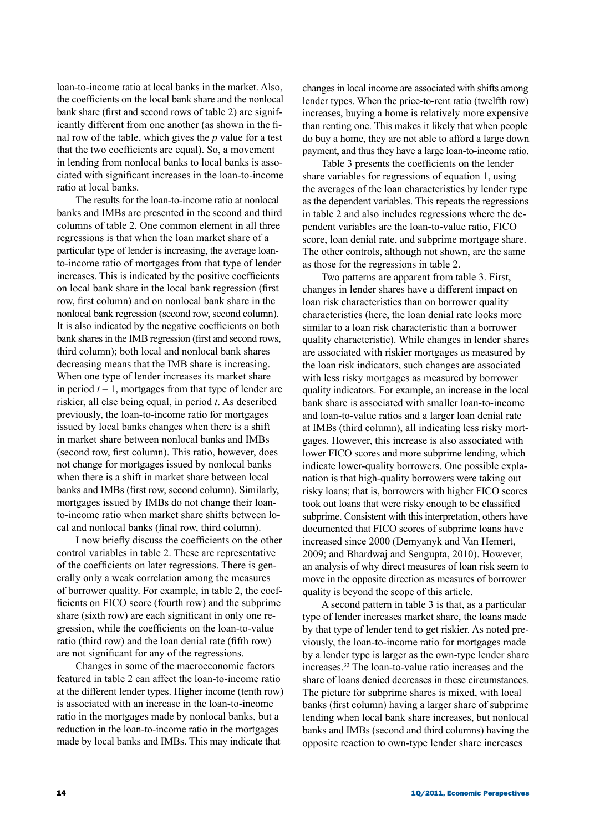loan-to-income ratio at local banks in the market. Also, the coefficients on the local bank share and the nonlocal bank share (first and second rows of table 2) are significantly different from one another (as shown in the final row of the table, which gives the *p* value for a test that the two coefficients are equal). So, a movement in lending from nonlocal banks to local banks is associated with significant increases in the loan-to-income ratio at local banks.

The results for the loan-to-income ratio at nonlocal banks and IMBs are presented in the second and third columns of table 2. One common element in all three regressions is that when the loan market share of a particular type of lender is increasing, the average loanto-income ratio of mortgages from that type of lender increases. This is indicated by the positive coefficients on local bank share in the local bank regression (first row, first column) and on nonlocal bank share in the nonlocal bank regression (second row, second column). It is also indicated by the negative coefficients on both bank shares in the IMB regression (first and second rows, third column); both local and nonlocal bank shares decreasing means that the IMB share is increasing. When one type of lender increases its market share in period  $t - 1$ , mortgages from that type of lender are riskier, all else being equal, in period *t*. As described previously, the loan-to-income ratio for mortgages issued by local banks changes when there is a shift in market share between nonlocal banks and IMBs (second row, first column). This ratio, however, does not change for mortgages issued by nonlocal banks when there is a shift in market share between local banks and IMBs (first row, second column). Similarly, mortgages issued by IMBs do not change their loanto-income ratio when market share shifts between local and nonlocal banks (final row, third column).

I now briefly discuss the coefficients on the other control variables in table 2. These are representative of the coefficients on later regressions. There is generally only a weak correlation among the measures of borrower quality. For example, in table 2, the coefficients on FICO score (fourth row) and the subprime share (sixth row) are each significant in only one regression, while the coefficients on the loan-to-value ratio (third row) and the loan denial rate (fifth row) are not significant for any of the regressions.

Changes in some of the macroeconomic factors featured in table 2 can affect the loan-to-income ratio at the different lender types. Higher income (tenth row) is associated with an increase in the loan-to-income ratio in the mortgages made by nonlocal banks, but a reduction in the loan-to-income ratio in the mortgages made by local banks and IMBs. This may indicate that

changes in local income are associated with shifts among lender types. When the price-to-rent ratio (twelfth row) increases, buying a home is relatively more expensive than renting one. This makes it likely that when people do buy a home, they are not able to afford a large down payment, and thus they have a large loan-to-income ratio.

Table 3 presents the coefficients on the lender share variables for regressions of equation 1, using the averages of the loan characteristics by lender type as the dependent variables. This repeats the regressions in table 2 and also includes regressions where the dependent variables are the loan-to-value ratio, FICO score, loan denial rate, and subprime mortgage share. The other controls, although not shown, are the same as those for the regressions in table 2.

Two patterns are apparent from table 3. First, changes in lender shares have a different impact on loan risk characteristics than on borrower quality characteristics (here, the loan denial rate looks more similar to a loan risk characteristic than a borrower quality characteristic). While changes in lender shares are associated with riskier mortgages as measured by the loan risk indicators, such changes are associated with less risky mortgages as measured by borrower quality indicators. For example, an increase in the local bank share is associated with smaller loan-to-income and loan-to-value ratios and a larger loan denial rate at IMBs (third column), all indicating less risky mortgages. However, this increase is also associated with lower FICO scores and more subprime lending, which indicate lower-quality borrowers. One possible explanation is that high-quality borrowers were taking out risky loans; that is, borrowers with higher FICO scores took out loans that were risky enough to be classified subprime. Consistent with this interpretation, others have documented that FICO scores of subprime loans have increased since 2000 (Demyanyk and Van Hemert, 2009; and Bhardwaj and Sengupta, 2010). However, an analysis of why direct measures of loan risk seem to move in the opposite direction as measures of borrower quality is beyond the scope of this article.

A second pattern in table 3 is that, as a particular type of lender increases market share, the loans made by that type of lender tend to get riskier. As noted previously, the loan-to-income ratio for mortgages made by a lender type is larger as the own-type lender share increases.33 The loan-to-value ratio increases and the share of loans denied decreases in these circumstances. The picture for subprime shares is mixed, with local banks (first column) having a larger share of subprime lending when local bank share increases, but nonlocal banks and IMBs (second and third columns) having the opposite reaction to own-type lender share increases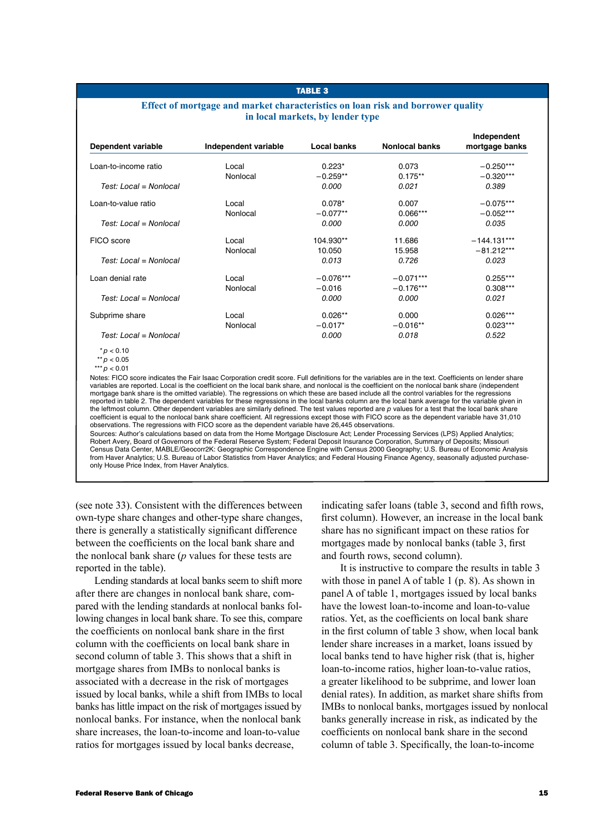#### Table 3

## **Effect of mortgage and market characteristics on loan risk and borrower quality in local markets, by lender type**

| Dependent variable       | Independent variable                                                                                                                                  | Local banks | <b>Nonlocal banks</b> | Independent<br>mortgage banks |
|--------------------------|-------------------------------------------------------------------------------------------------------------------------------------------------------|-------------|-----------------------|-------------------------------|
| Loan-to-income ratio     | Local                                                                                                                                                 | $0.223*$    | 0.073                 | $-0.250***$                   |
|                          | Nonlocal                                                                                                                                              | $-0.259**$  | $0.175**$             | $-0.320***$                   |
| Test: Local = Nonlocal   |                                                                                                                                                       | 0.000       | 0.021                 | 0.389                         |
| Loan-to-value ratio      | Local                                                                                                                                                 | $0.078*$    | 0.007                 | $-0.075***$                   |
|                          | Nonlocal                                                                                                                                              | $-0.077**$  | $0.066***$            | $-0.052***$                   |
| $Test: Local = Nonlocal$ |                                                                                                                                                       | 0.000       | 0.000                 | 0.035                         |
| FICO score               | Local                                                                                                                                                 | 104.930**   | 11.686                | $-144.131***$                 |
|                          | Nonlocal                                                                                                                                              | 10.050      | 15.958                | $-81.212***$                  |
| Test: Local = Nonlocal   |                                                                                                                                                       | 0.013       | 0.726                 | 0.023                         |
| Loan denial rate         | Local                                                                                                                                                 | $-0.076***$ | $-0.071***$           | $0.255***$                    |
|                          | Nonlocal                                                                                                                                              | $-0.016$    | $-0.176***$           | $0.308***$                    |
| Test: $Local = Nonlocal$ |                                                                                                                                                       | 0.000       | 0.000                 | 0.021                         |
| Subprime share           | Local                                                                                                                                                 | $0.026**$   | 0.000                 | $0.026***$                    |
|                          | Nonlocal                                                                                                                                              | $-0.017*$   | $-0.016**$            | $0.023***$                    |
| Test: Local = Nonlocal   |                                                                                                                                                       | 0.000       | 0.018                 | 0.522                         |
| $*$ $p$ < 0.10           |                                                                                                                                                       |             |                       |                               |
| ** $p < 0.05$            |                                                                                                                                                       |             |                       |                               |
| *** $p < 0.01$           | Notes: FICO score indicates the Fair Isaac Cornoration credit score. Full definitions for the variables are in the text. Coefficients on lender share |             |                       |                               |

Notes: FICO score indicates the Fair Isaac Corporation credit score. Full definitions for the variables are in the text. Coefficients on lender share<br>variables are reported. Local is the coefficient on the local bank share mortgage bank share is the omitted variable). The regressions on which these are based include all the control variables for the regressions reported in table 2. The dependent variables for these regressions in the local banks column are the local bank average for the variable given in the leftmost column. Other dependent variables are similarly defined. The test values reported are p values for a test that the local bank share coefficient is equal to the nonlocal bank share coefficient. All regressions except those with FICO score as the dependent variable have 31,010 observations. The regressions with FICO score as the dependent variable have 26,445 observations. Sources: Author's calculations based on data from the Home Mortgage Disclosure Act; Lender Processing Services (LPS) Applied Analytics; Robert Avery, Board of Governors of the Federal Reserve System; Federal Deposit Insurance Corporation, Summary of Deposits; Missouri

Census Data Center, MABLE/Geocorr2K: Geographic Correspondence Engine with Census 2000 Geography; U.S. Bureau of Economic Analysis from Haver Analytics; U.S. Bureau of Labor Statistics from Haver Analytics; and Federal Housing Finance Agency, seasonally adjusted purchaseonly House Price Index, from Haver Analytics.

(see note 33). Consistent with the differences between own-type share changes and other-type share changes, there is generally a statistically significant difference between the coefficients on the local bank share and the nonlocal bank share (*p* values for these tests are reported in the table).

Lending standards at local banks seem to shift more after there are changes in nonlocal bank share, compared with the lending standards at nonlocal banks following changes in local bank share. To see this, compare the coefficients on nonlocal bank share in the first column with the coefficients on local bank share in second column of table 3. This shows that a shift in mortgage shares from IMBs to nonlocal banks is associated with a decrease in the risk of mortgages issued by local banks, while a shift from IMBs to local banks has little impact on the risk of mortgages issued by nonlocal banks. For instance, when the nonlocal bank share increases, the loan-to-income and loan-to-value ratios for mortgages issued by local banks decrease,

indicating safer loans (table 3, second and fifth rows, first column). However, an increase in the local bank share has no significant impact on these ratios for mortgages made by nonlocal banks (table 3, first and fourth rows, second column).

It is instructive to compare the results in table 3 with those in panel A of table 1 (p. 8). As shown in panel A of table 1, mortgages issued by local banks have the lowest loan-to-income and loan-to-value ratios. Yet, as the coefficients on local bank share in the first column of table 3 show, when local bank lender share increases in a market, loans issued by local banks tend to have higher risk (that is, higher loan-to-income ratios, higher loan-to-value ratios, a greater likelihood to be subprime, and lower loan denial rates). In addition, as market share shifts from IMBs to nonlocal banks, mortgages issued by nonlocal banks generally increase in risk, as indicated by the coefficients on nonlocal bank share in the second column of table 3. Specifically, the loan-to-income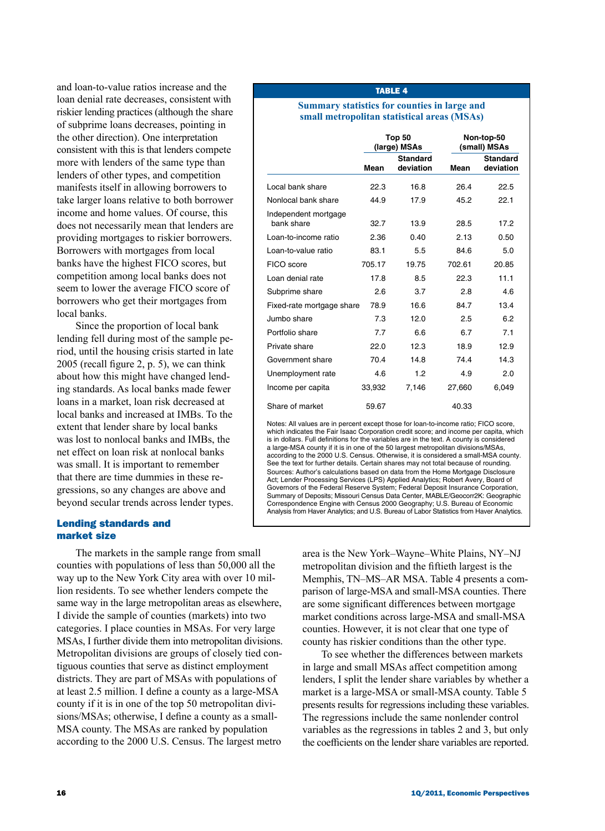and loan-to-value ratios increase and the loan denial rate decreases, consistent with riskier lending practices (although the share of subprime loans decreases, pointing in the other direction). One interpretation consistent with this is that lenders compete more with lenders of the same type than lenders of other types, and competition manifests itself in allowing borrowers to take larger loans relative to both borrower income and home values. Of course, this does not necessarily mean that lenders are providing mortgages to riskier borrowers. Borrowers with mortgages from local banks have the highest FICO scores, but competition among local banks does not seem to lower the average FICO score of borrowers who get their mortgages from local banks.

Since the proportion of local bank lending fell during most of the sample period, until the housing crisis started in late 2005 (recall figure 2, p. 5), we can think about how this might have changed lending standards. As local banks made fewer loans in a market, loan risk decreased at local banks and increased at IMBs. To the extent that lender share by local banks was lost to nonlocal banks and IMBs, the net effect on loan risk at nonlocal banks was small. It is important to remember that there are time dummies in these regressions, so any changes are above and beyond secular trends across lender types.

# Lending standards and market size

The markets in the sample range from small counties with populations of less than 50,000 all the way up to the New York City area with over 10 million residents. To see whether lenders compete the same way in the large metropolitan areas as elsewhere, I divide the sample of counties (markets) into two categories. I place counties in MSAs. For very large MSAs, I further divide them into metropolitan divisions. Metropolitan divisions are groups of closely tied contiguous counties that serve as distinct employment districts. They are part of MSAs with populations of at least 2.5 million. I define a county as a large-MSA county if it is in one of the top 50 metropolitan divisions/MSAs; otherwise, I define a county as a small-MSA county. The MSAs are ranked by population according to the 2000 U.S. Census. The largest metro

## Table 4

#### **Summary statistics for counties in large and small metropolitan statistical areas (MSAs)**

|                                    |        | Top 50<br>(large) MSAs       |        | Non-top-50<br>(small) MSAs   |
|------------------------------------|--------|------------------------------|--------|------------------------------|
|                                    | Mean   | <b>Standard</b><br>deviation | Mean   | <b>Standard</b><br>deviation |
| Local bank share                   | 22.3   | 16.8                         | 26.4   | 22.5                         |
| Nonlocal bank share                | 44.9   | 17.9                         | 45.2   | 22.1                         |
| Independent mortgage<br>bank share | 32.7   | 13.9                         | 28.5   | 17.2                         |
| Loan-to-income ratio               | 2.36   | 0.40                         | 2.13   | 0.50                         |
| Loan-to-value ratio                | 83.1   | 5.5                          | 84.6   | 5.0                          |
| FICO score                         | 705.17 | 19.75                        | 702.61 | 20.85                        |
| Loan denial rate                   | 17.8   | 8.5                          | 22.3   | 11.1                         |
| Subprime share                     | 2.6    | 3.7                          | 2.8    | 4.6                          |
| Fixed-rate mortgage share          | 78.9   | 16.6                         | 84.7   | 13.4                         |
| Jumbo share                        | 7.3    | 12.0                         | 2.5    | 6.2                          |
| Portfolio share                    | 7.7    | 6.6                          | 6.7    | 7.1                          |
| Private share                      | 22.O   | 12.3                         | 18.9   | 12.9                         |
| Government share                   | 70.4   | 14.8                         | 74.4   | 14.3                         |
| Unemployment rate                  | 4.6    | 1.2                          | 4.9    | 2.0                          |
| Income per capita                  | 33,932 | 7,146                        | 27,660 | 6,049                        |
| Share of market                    | 59.67  |                              | 40.33  |                              |

Notes: All values are in percent except those for loan-to-income ratio; FICO score, which indicates the Fair Isaac Corporation credit score; and income per capita, which is in dollars. Full definitions for the variables are in the text. A county is considered a large-MSA county if it is in one of the 50 largest metropolitan divisions/MSAs, according to the 2000 U.S. Census. Otherwise, it is considered a small-MSA county. See the text for further details. Certain shares may not total because of rounding. Sources: Author's calculations based on data from the Home Mortgage Disclosure Act; Lender Processing Services (LPS) Applied Analytics; Robert Avery, Board of Governors of the Federal Reserve System; Federal Deposit Insurance Corporation, Summary of Deposits; Missouri Census Data Center, MABLE/Geocorr2K: Geographic Correspondence Engine with Census 2000 Geography; U.S. Bureau of Economic Analysis from Haver Analytics; and U.S. Bureau of Labor Statistics from Haver Analytics.

> area is the New York–Wayne–White Plains, NY–NJ metropolitan division and the fiftieth largest is the Memphis, TN–MS–AR MSA. Table 4 presents a comparison of large-MSA and small-MSA counties. There are some significant differences between mortgage market conditions across large-MSA and small-MSA counties. However, it is not clear that one type of county has riskier conditions than the other type.

> To see whether the differences between markets in large and small MSAs affect competition among lenders, I split the lender share variables by whether a market is a large-MSA or small-MSA county. Table 5 presents results for regressions including these variables. The regressions include the same nonlender control variables as the regressions in tables 2 and 3, but only the coefficients on the lender share variables are reported.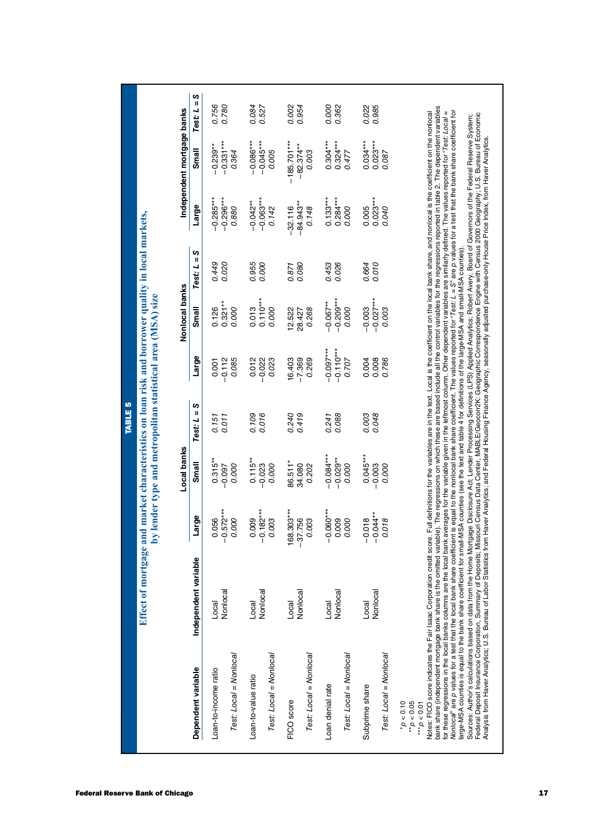|                                                                                                                                                                                                                                                                                                                                                                                                                                                   |                                                                                                   |                        |                           | <b>TABLE 5</b>               |                                                             |                           |                               |                                                                                                                                                                                                                                                                                                                        |                            |                |
|---------------------------------------------------------------------------------------------------------------------------------------------------------------------------------------------------------------------------------------------------------------------------------------------------------------------------------------------------------------------------------------------------------------------------------------------------|---------------------------------------------------------------------------------------------------|------------------------|---------------------------|------------------------------|-------------------------------------------------------------|---------------------------|-------------------------------|------------------------------------------------------------------------------------------------------------------------------------------------------------------------------------------------------------------------------------------------------------------------------------------------------------------------|----------------------------|----------------|
|                                                                                                                                                                                                                                                                                                                                                                                                                                                   | Effect of mortgage and market characteristics on loan risk and borrower quality in local markets, |                        |                           |                              | by lender type and metropolitan statistical area (MSA) size |                           |                               |                                                                                                                                                                                                                                                                                                                        |                            |                |
|                                                                                                                                                                                                                                                                                                                                                                                                                                                   |                                                                                                   |                        | Local banks               |                              |                                                             | Nonlocal banks            |                               |                                                                                                                                                                                                                                                                                                                        | Independent mortgage banks |                |
| Dependent variable                                                                                                                                                                                                                                                                                                                                                                                                                                | Independent variable                                                                              | Large                  | Small                     | S<br>$\mathbf{I}$<br>Test: L | Large                                                       | Small                     | ပာ<br>$\mathbf{I}$<br>Test: L | Large                                                                                                                                                                                                                                                                                                                  | Small                      | Ш<br>Test: L   |
| Loan-to-income ratio                                                                                                                                                                                                                                                                                                                                                                                                                              | Local                                                                                             | $-0.572***$<br>0.056   | $0.315**$                 | 0.011<br>0.151               | 0.001                                                       | $0.321**$<br>0.126        | 0.020<br>0.449                | $-0.285***$<br>$-0.296***$                                                                                                                                                                                                                                                                                             | $-0.331***$<br>$-0.239**$  | 0.756          |
| Test: Local = Nonlocal                                                                                                                                                                                                                                                                                                                                                                                                                            | Nonlocal                                                                                          | 0.000                  | 0.000<br>$-0.097$         |                              | 0.085<br>$-0.112$                                           | 0.000                     |                               | 0.880                                                                                                                                                                                                                                                                                                                  | 0.364                      | 0.780          |
| Loan-to-value ratio                                                                                                                                                                                                                                                                                                                                                                                                                               | Local                                                                                             | 0.009                  | $0.115***$                | 0.109                        | 0.012                                                       | 0.013                     | 0.955                         | $-0.042**$                                                                                                                                                                                                                                                                                                             | $-0.086***$                | 0.084          |
| Test: Local = Nonlocal                                                                                                                                                                                                                                                                                                                                                                                                                            | Nonlocal                                                                                          | $-0.182***$<br>0.003   | $-0.023$<br>0.000         | 0.016                        | $-0.022$<br>0.023                                           | $0.110***$<br>0.000       | 0.000                         | $-0.063***$<br>0.142                                                                                                                                                                                                                                                                                                   | $-0.045***$<br>0.005       | 0.527          |
| FICO score                                                                                                                                                                                                                                                                                                                                                                                                                                        | Local                                                                                             | 168.303***             | 86.511*                   | 0.240                        | 16.403                                                      | 12.522                    | 0.871                         | $-32.116$                                                                                                                                                                                                                                                                                                              | $-185.701***$              | 0.002          |
| Test: Local = Nonlocal                                                                                                                                                                                                                                                                                                                                                                                                                            | Nonlocal                                                                                          | $-37.756$<br>0.003     | 34.080<br>0.202           | 0.419                        | $-7.369$<br>0.269                                           | 0.268<br>28.427           | 0.080                         | $-84.943**$<br>0.148                                                                                                                                                                                                                                                                                                   | $-82.374**$<br>0.003       | 0.954          |
| Loan denial rate                                                                                                                                                                                                                                                                                                                                                                                                                                  | Local                                                                                             | $-0.060***$<br>0.009   | $-0.084***$<br>$-0.029**$ | 0.088<br>0.241               | $-0.110***$<br>$-0.097***$                                  | $-0.209***$<br>$-0.067**$ | 0.453                         | $0.133***$<br>$0.284***$                                                                                                                                                                                                                                                                                               | $0.304***$                 | 0.000          |
| Test: Local = Nonlocal                                                                                                                                                                                                                                                                                                                                                                                                                            | Nonlocal                                                                                          | 0.000                  | 0.000                     |                              | 0.707                                                       | 0.000                     | 0.026                         | 0.000                                                                                                                                                                                                                                                                                                                  | $0.324***$<br>0.477        | 0.362          |
| Subprime share                                                                                                                                                                                                                                                                                                                                                                                                                                    | Nonlocal<br>Local                                                                                 | $-0.044**$<br>$-0.018$ | $0.045***$<br>$-0.003$    | 0.048<br>0.003               | 0.008<br>0.004                                              | $-0.027***$<br>$-0.003$   | 0.010<br>0.664                | $0.023***$<br>0.005                                                                                                                                                                                                                                                                                                    | $0.023***$<br>$0.034***$   | 0.985<br>0.022 |
| Test: Local = Nonlocal                                                                                                                                                                                                                                                                                                                                                                                                                            |                                                                                                   | 0.018                  | 0.000                     |                              | 0.786                                                       | 0.003                     |                               | 0.040                                                                                                                                                                                                                                                                                                                  | 0.087                      |                |
| $^{**}p < 0.05$<br>$^*p < 0.10$<br>*** $p$ < 0.01                                                                                                                                                                                                                                                                                                                                                                                                 |                                                                                                   |                        |                           |                              |                                                             |                           |                               |                                                                                                                                                                                                                                                                                                                        |                            |                |
| Notes: FICO score indicates the Fair Isaac Corporation credit<br>bank share (independent mortgage bank share is the omitted                                                                                                                                                                                                                                                                                                                       |                                                                                                   |                        |                           |                              |                                                             |                           |                               | variable). The regressions on which these are based include all the control variables for the regressions reported in table 2. The dependent variables<br>score. Full definitions for the variables are in the text. Local is the coefficient on the local bank share, and nonlocal is the coefficient on the nonlocal |                            |                |
| Nonlocal' are p values for a test that the local bank share coefficient is equal to the nonlocal bank share coefficient. The values reported for "Test: L = S" are p values for a test that the bank share coefficient for<br>for these regressions in the local banks columns are the local bank averages for the variable given in the leftmost column. Other dependent variables are similarly defined. The values reported for "Test: Local = |                                                                                                   |                        |                           |                              |                                                             |                           |                               |                                                                                                                                                                                                                                                                                                                        |                            |                |
| Sources: Author's calculations based on data from the Home Mortgage Disclosure Act, Lender Processing Services (LPS) Applied Analytics; Robert Avery, Board of Governors of the Federal Reserve System;<br>Federal Deposit Insura<br>arge-MSA counties is equal to the bank share coefficient for small-MSA counties (see the text and table 4 for definitions of the large-MSA and small-MSA counties).                                          |                                                                                                   |                        |                           |                              |                                                             |                           |                               |                                                                                                                                                                                                                                                                                                                        |                            |                |
|                                                                                                                                                                                                                                                                                                                                                                                                                                                   |                                                                                                   |                        |                           |                              |                                                             |                           |                               |                                                                                                                                                                                                                                                                                                                        |                            |                |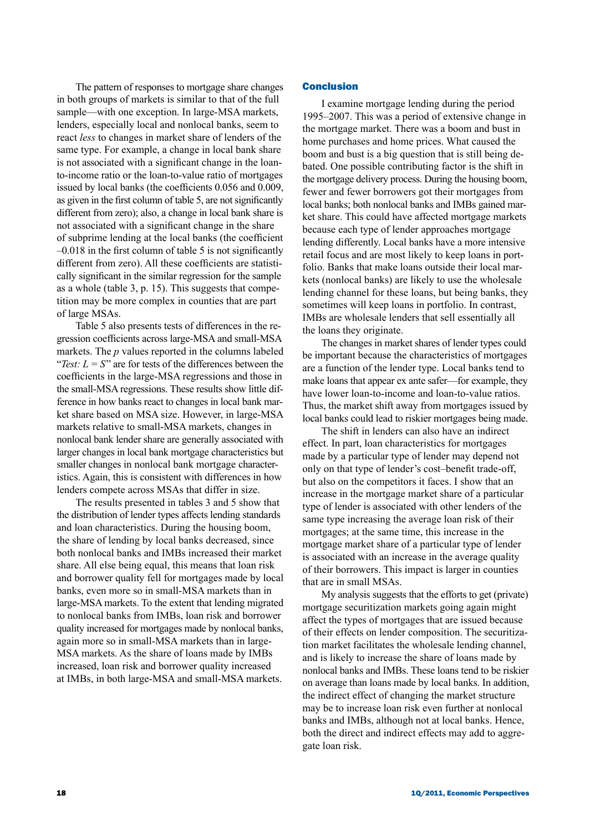The pattern of responses to mortgage share changes in both groups of markets is similar to that of the full sample—with one exception. In large-MSA markets, lenders, especially local and nonlocal banks, seem to react *less* to changes in market share of lenders of the same type. For example, a change in local bank share is not associated with a significant change in the loanto-income ratio or the loan-to-value ratio of mortgages issued by local banks (the coefficients 0.056 and 0.009, as given in the first column of table 5, are not significantly different from zero); also, a change in local bank share is not associated with a significant change in the share of subprime lending at the local banks (the coefficient –0.018 in the first column of table 5 is not significantly different from zero). All these coefficients are statistically significant in the similar regression for the sample as a whole (table 3, p. 15). This suggests that competition may be more complex in counties that are part of large MSAs.

Table 5 also presents tests of differences in the regression coefficients across large-MSA and small-MSA markets. The *p* values reported in the columns labeled "*Test:*  $L = S$ " are for tests of the differences between the coefficients in the large-MSA regressions and those in the small-MSA regressions. These results show little difference in how banks react to changes in local bank market share based on MSA size. However, in large-MSA markets relative to small-MSA markets, changes in nonlocal bank lender share are generally associated with larger changes in local bank mortgage characteristics but smaller changes in nonlocal bank mortgage characteristics. Again, this is consistent with differences in how lenders compete across MSAs that differ in size.

The results presented in tables 3 and 5 show that the distribution of lender types affects lending standards and loan characteristics. During the housing boom, the share of lending by local banks decreased, since both nonlocal banks and IMBs increased their market share. All else being equal, this means that loan risk and borrower quality fell for mortgages made by local banks, even more so in small-MSA markets than in large-MSA markets. To the extent that lending migrated to nonlocal banks from IMBs, loan risk and borrower quality increased for mortgages made by nonlocal banks, again more so in small-MSA markets than in large-MSA markets. As the share of loans made by IMBs increased, loan risk and borrower quality increased at IMBs, in both large-MSA and small-MSA markets.

## Conclusion

I examine mortgage lending during the period 1995–2007. This was a period of extensive change in the mortgage market. There was a boom and bust in home purchases and home prices. What caused the boom and bust is a big question that is still being debated. One possible contributing factor is the shift in the mortgage delivery process. During the housing boom, fewer and fewer borrowers got their mortgages from local banks; both nonlocal banks and IMBs gained market share. This could have affected mortgage markets because each type of lender approaches mortgage lending differently. Local banks have a more intensive retail focus and are most likely to keep loans in portfolio. Banks that make loans outside their local markets (nonlocal banks) are likely to use the wholesale lending channel for these loans, but being banks, they sometimes will keep loans in portfolio. In contrast, IMBs are wholesale lenders that sell essentially all the loans they originate.

The changes in market shares of lender types could be important because the characteristics of mortgages are a function of the lender type. Local banks tend to make loans that appear ex ante safer—for example, they have lower loan-to-income and loan-to-value ratios. Thus, the market shift away from mortgages issued by local banks could lead to riskier mortgages being made.

The shift in lenders can also have an indirect effect. In part, loan characteristics for mortgages made by a particular type of lender may depend not only on that type of lender's cost–benefit trade-off, but also on the competitors it faces. I show that an increase in the mortgage market share of a particular type of lender is associated with other lenders of the same type increasing the average loan risk of their mortgages; at the same time, this increase in the mortgage market share of a particular type of lender is associated with an increase in the average quality of their borrowers. This impact is larger in counties that are in small MSAs.

My analysis suggests that the efforts to get (private) mortgage securitization markets going again might affect the types of mortgages that are issued because of their effects on lender composition. The securitization market facilitates the wholesale lending channel, and is likely to increase the share of loans made by nonlocal banks and IMBs. These loans tend to be riskier on average than loans made by local banks. In addition, the indirect effect of changing the market structure may be to increase loan risk even further at nonlocal banks and IMBs, although not at local banks. Hence, both the direct and indirect effects may add to aggregate loan risk.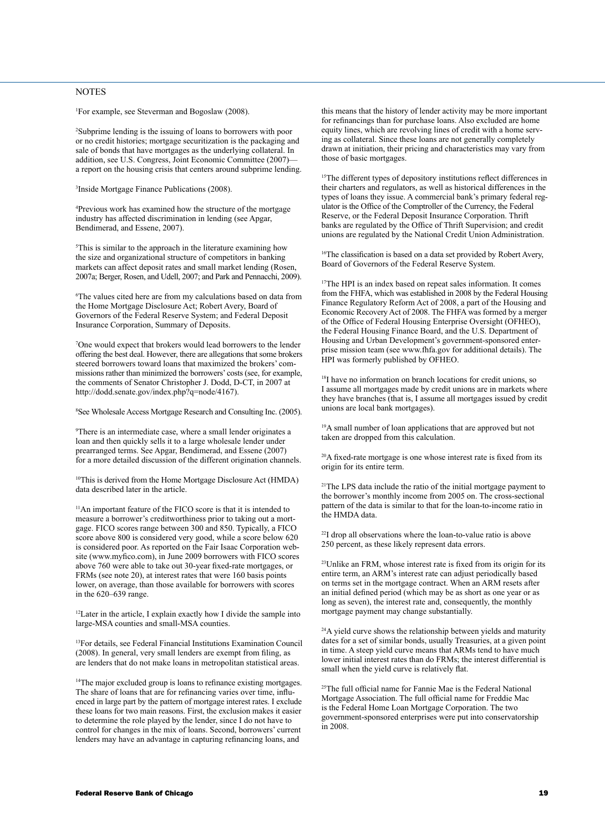## **NOTES**

1 For example, see Steverman and Bogoslaw (2008).

2 Subprime lending is the issuing of loans to borrowers with poor or no credit histories; mortgage securitization is the packaging and sale of bonds that have mortgages as the underlying collateral. In addition, see U.S. Congress, Joint Economic Committee (2007) a report on the housing crisis that centers around subprime lending.

3 Inside Mortgage Finance Publications (2008).

4 Previous work has examined how the structure of the mortgage industry has affected discrimination in lending (see Apgar, Bendimerad, and Essene, 2007).

5 This is similar to the approach in the literature examining how the size and organizational structure of competitors in banking markets can affect deposit rates and small market lending (Rosen, 2007a; Berger, Rosen, and Udell, 2007; and Park and Pennacchi, 2009).

6 The values cited here are from my calculations based on data from the Home Mortgage Disclosure Act; Robert Avery, Board of Governors of the Federal Reserve System; and Federal Deposit Insurance Corporation, Summary of Deposits.

7 One would expect that brokers would lead borrowers to the lender offering the best deal. However, there are allegations that some brokers steered borrowers toward loans that maximized the brokers' commissions rather than minimized the borrowers' costs (see, for example, the comments of Senator Christopher J. Dodd, D-CT, in 2007 at http://dodd.senate.gov/index.php?q=node/4167).

8 See Wholesale Access Mortgage Research and Consulting Inc. (2005).

9 There is an intermediate case, where a small lender originates a loan and then quickly sells it to a large wholesale lender under prearranged terms. See Apgar, Bendimerad, and Essene (2007) for a more detailed discussion of the different origination channels.

10This is derived from the Home Mortgage Disclosure Act (HMDA) data described later in the article.

11An important feature of the FICO score is that it is intended to measure a borrower's creditworthiness prior to taking out a mortgage. FICO scores range between 300 and 850. Typically, a FICO score above 800 is considered very good, while a score below 620 is considered poor. As reported on the Fair Isaac Corporation website (www.myfico.com), in June 2009 borrowers with FICO scores above 760 were able to take out 30-year fixed-rate mortgages, or FRMs (see note 20), at interest rates that were 160 basis points lower, on average, than those available for borrowers with scores in the 620–639 range.

<sup>12</sup>Later in the article, I explain exactly how I divide the sample into large-MSA counties and small-MSA counties.

13For details, see Federal Financial Institutions Examination Council (2008). In general, very small lenders are exempt from filing, as are lenders that do not make loans in metropolitan statistical areas.

<sup>14</sup>The major excluded group is loans to refinance existing mortgages. The share of loans that are for refinancing varies over time, influenced in large part by the pattern of mortgage interest rates. I exclude these loans for two main reasons. First, the exclusion makes it easier to determine the role played by the lender, since I do not have to control for changes in the mix of loans. Second, borrowers' current lenders may have an advantage in capturing refinancing loans, and

this means that the history of lender activity may be more important for refinancings than for purchase loans. Also excluded are home equity lines, which are revolving lines of credit with a home serving as collateral. Since these loans are not generally completely drawn at initiation, their pricing and characteristics may vary from those of basic mortgages.

<sup>15</sup>The different types of depository institutions reflect differences in their charters and regulators, as well as historical differences in the types of loans they issue. A commercial bank's primary federal regulator is the Office of the Comptroller of the Currency, the Federal Reserve, or the Federal Deposit Insurance Corporation. Thrift banks are regulated by the Office of Thrift Supervision; and credit unions are regulated by the National Credit Union Administration.

<sup>16</sup>The classification is based on a data set provided by Robert Avery, Board of Governors of the Federal Reserve System.

17The HPI is an index based on repeat sales information. It comes from the FHFA, which was established in 2008 by the Federal Housing Finance Regulatory Reform Act of 2008, a part of the Housing and Economic Recovery Act of 2008. The FHFA was formed by a merger of the Office of Federal Housing Enterprise Oversight (OFHEO), the Federal Housing Finance Board, and the U.S. Department of Housing and Urban Development's government-sponsored enterprise mission team (see www.fhfa.gov for additional details). The HPI was formerly published by OFHEO.

<sup>18</sup>I have no information on branch locations for credit unions, so I assume all mortgages made by credit unions are in markets where they have branches (that is, I assume all mortgages issued by credit unions are local bank mortgages).

19A small number of loan applications that are approved but not taken are dropped from this calculation.

<sup>20</sup>A fixed-rate mortgage is one whose interest rate is fixed from its origin for its entire term.

21The LPS data include the ratio of the initial mortgage payment to the borrower's monthly income from 2005 on. The cross-sectional pattern of the data is similar to that for the loan-to-income ratio in the HMDA data.

22I drop all observations where the loan-to-value ratio is above 250 percent, as these likely represent data errors.

23Unlike an FRM, whose interest rate is fixed from its origin for its entire term, an ARM's interest rate can adjust periodically based on terms set in the mortgage contract. When an ARM resets after an initial defined period (which may be as short as one year or as long as seven), the interest rate and, consequently, the monthly mortgage payment may change substantially.

<sup>24</sup>A yield curve shows the relationship between yields and maturity dates for a set of similar bonds, usually Treasuries, at a given point in time. A steep yield curve means that ARMs tend to have much lower initial interest rates than do FRMs; the interest differential is small when the yield curve is relatively flat.

25The full official name for Fannie Mae is the Federal National Mortgage Association. The full official name for Freddie Mac is the Federal Home Loan Mortgage Corporation. The two government-sponsored enterprises were put into conservatorship in 2008.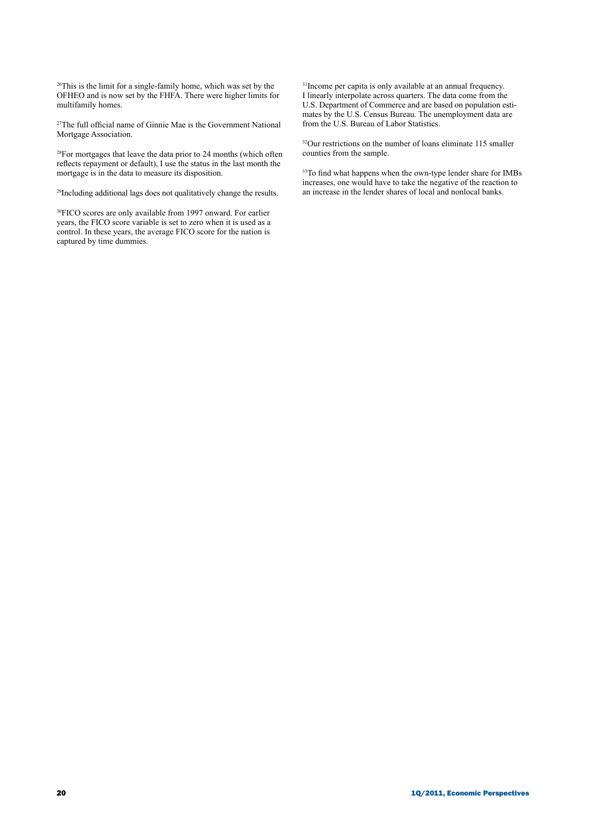26This is the limit for a single-family home, which was set by the OFHEO and is now set by the FHFA. There were higher limits for multifamily homes.

27The full official name of Ginnie Mae is the Government National Mortgage Association.

28For mortgages that leave the data prior to 24 months (which often reflects repayment or default), I use the status in the last month the mortgage is in the data to measure its disposition.

29Including additional lags does not qualitatively change the results.

30FICO scores are only available from 1997 onward. For earlier years, the FICO score variable is set to zero when it is used as a control. In these years, the average FICO score for the nation is captured by time dummies.

31Income per capita is only available at an annual frequency. I linearly interpolate across quarters. The data come from the U.S. Department of Commerce and are based on population estimates by the U.S. Census Bureau. The unemployment data are from the U.S. Bureau of Labor Statistics.

32Our restrictions on the number of loans eliminate 115 smaller counties from the sample.

<sup>33</sup>To find what happens when the own-type lender share for IMBs increases, one would have to take the negative of the reaction to an increase in the lender shares of local and nonlocal banks.